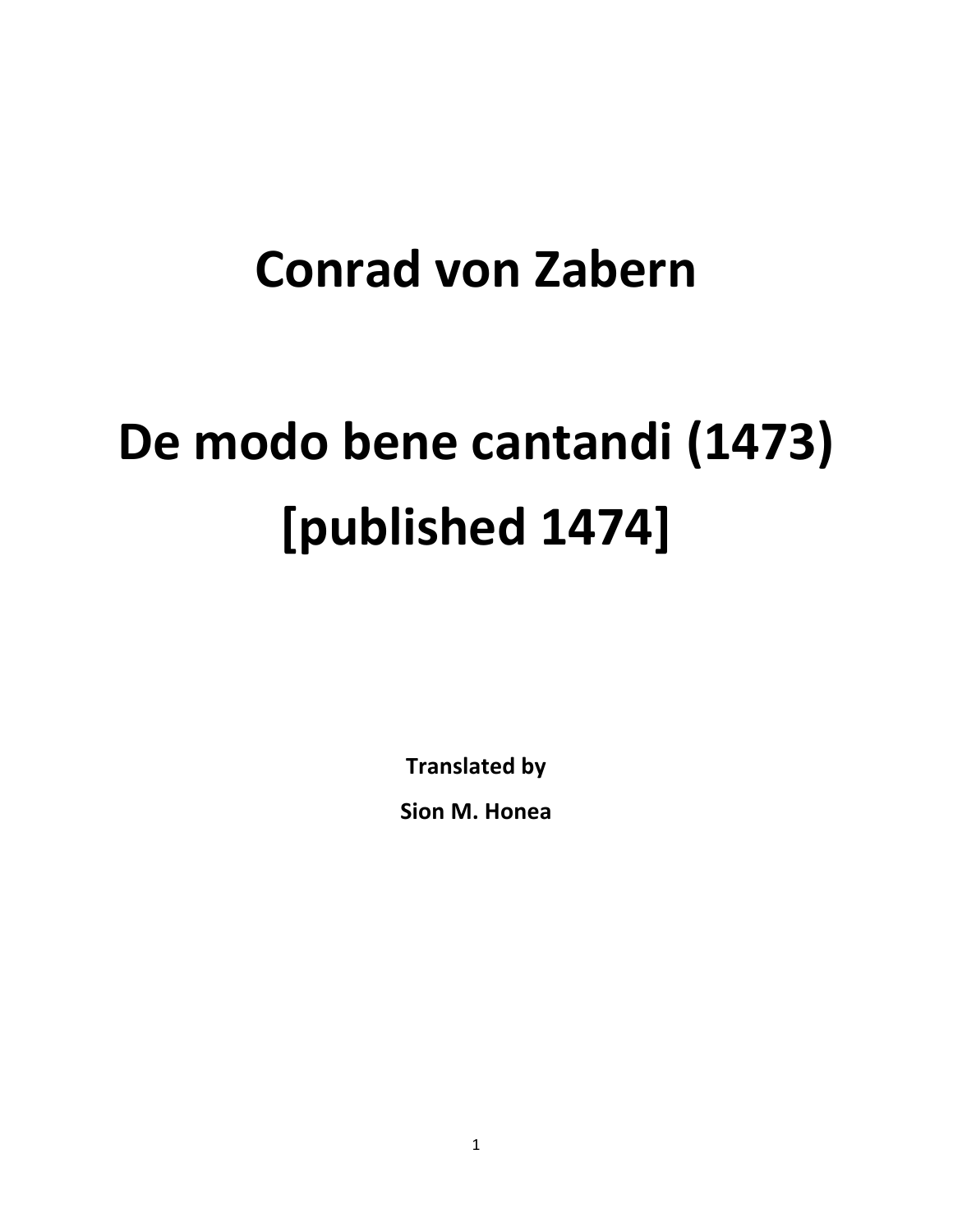# **Conrad von Zabern**

# De modo bene cantandi (1473) **[published 1474]**

**Translated by**

**Sion M. Honea**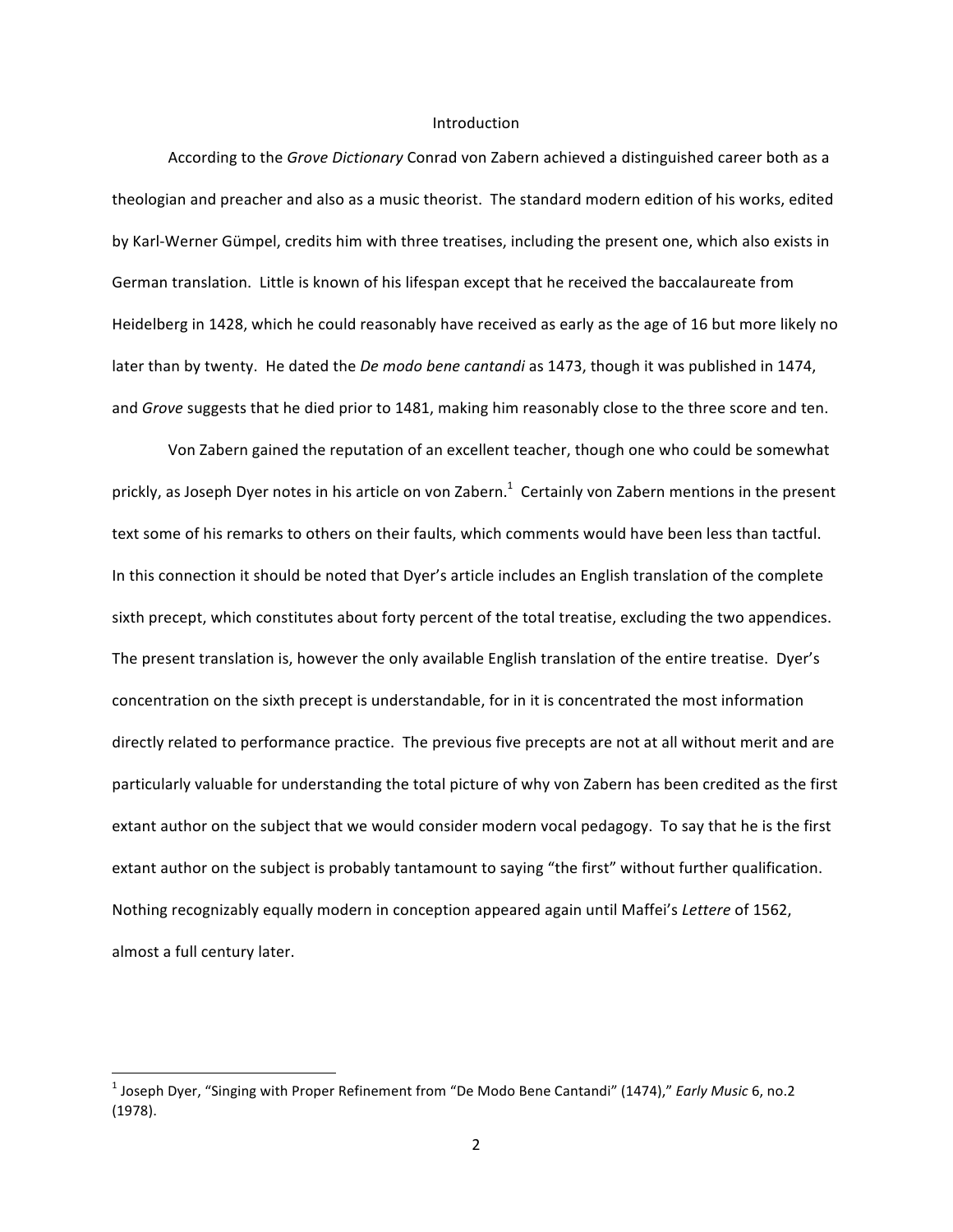#### Introduction

According to the *Grove Dictionary* Conrad von Zabern achieved a distinguished career both as a theologian and preacher and also as a music theorist. The standard modern edition of his works, edited by Karl-Werner Gümpel, credits him with three treatises, including the present one, which also exists in German translation. Little is known of his lifespan except that he received the baccalaureate from Heidelberg in 1428, which he could reasonably have received as early as the age of 16 but more likely no later than by twenty. He dated the *De modo bene cantandi* as 1473, though it was published in 1474, and *Grove* suggests that he died prior to 1481, making him reasonably close to the three score and ten.

Von Zabern gained the reputation of an excellent teacher, though one who could be somewhat prickly, as Joseph Dyer notes in his article on von Zabern.<sup>1</sup> Certainly von Zabern mentions in the present text some of his remarks to others on their faults, which comments would have been less than tactful. In this connection it should be noted that Dyer's article includes an English translation of the complete sixth precept, which constitutes about forty percent of the total treatise, excluding the two appendices. The present translation is, however the only available English translation of the entire treatise. Dyer's concentration on the sixth precept is understandable, for in it is concentrated the most information directly related to performance practice. The previous five precepts are not at all without merit and are particularly valuable for understanding the total picture of why von Zabern has been credited as the first extant author on the subject that we would consider modern vocal pedagogy. To say that he is the first extant author on the subject is probably tantamount to saying "the first" without further qualification. Nothing recognizably equally modern in conception appeared again until Maffei's *Lettere* of 1562, almost a full century later.

 $<sup>1</sup>$  Joseph Dyer, "Singing with Proper Refinement from "De Modo Bene Cantandi" (1474)," *Early Music* 6, no.2</sup> (1978).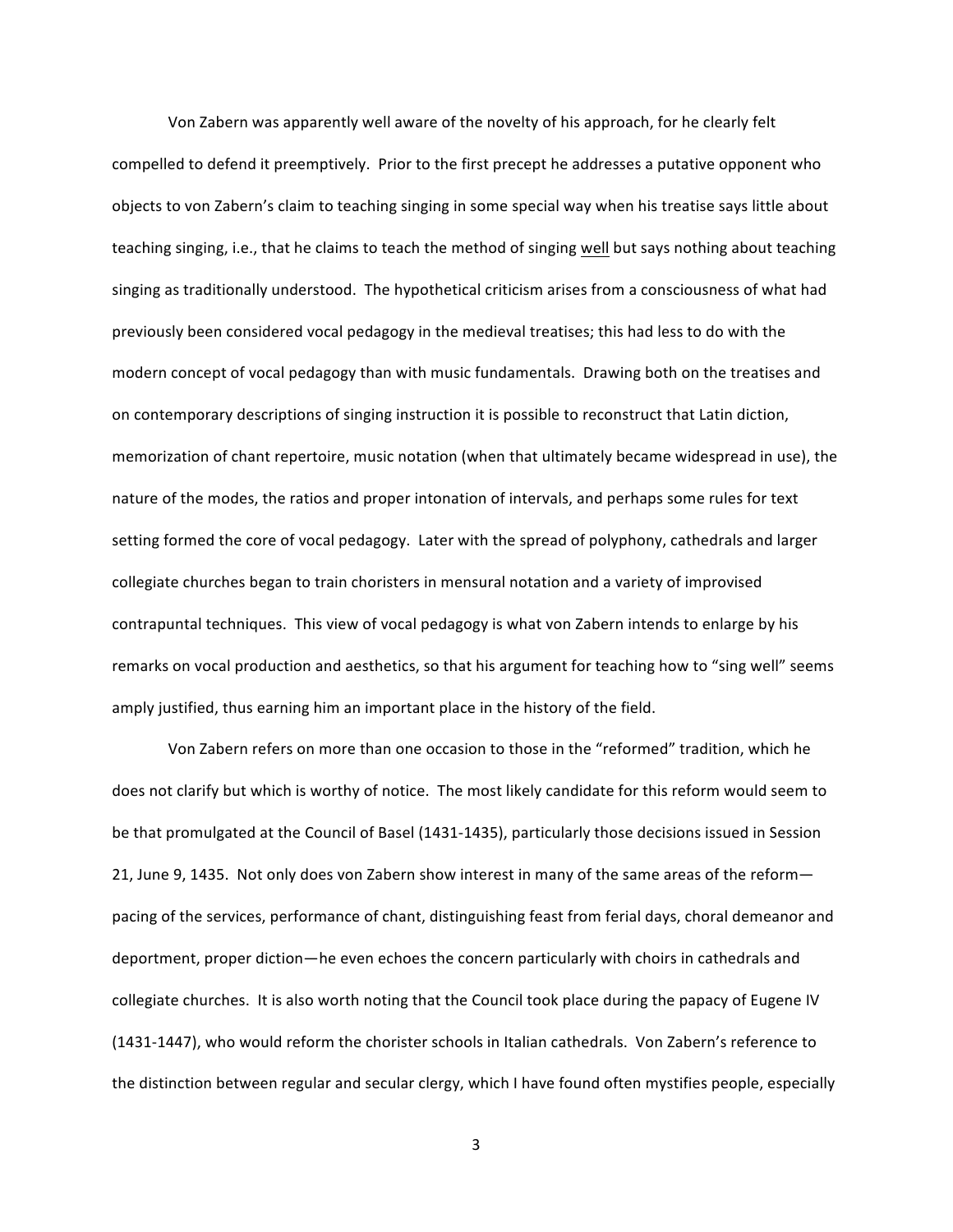Von Zabern was apparently well aware of the novelty of his approach, for he clearly felt compelled to defend it preemptively. Prior to the first precept he addresses a putative opponent who objects to von Zabern's claim to teaching singing in some special way when his treatise says little about teaching singing, i.e., that he claims to teach the method of singing well but says nothing about teaching singing as traditionally understood. The hypothetical criticism arises from a consciousness of what had previously been considered vocal pedagogy in the medieval treatises; this had less to do with the modern concept of vocal pedagogy than with music fundamentals. Drawing both on the treatises and on contemporary descriptions of singing instruction it is possible to reconstruct that Latin diction, memorization of chant repertoire, music notation (when that ultimately became widespread in use), the nature of the modes, the ratios and proper intonation of intervals, and perhaps some rules for text setting formed the core of vocal pedagogy. Later with the spread of polyphony, cathedrals and larger collegiate churches began to train choristers in mensural notation and a variety of improvised contrapuntal techniques. This view of vocal pedagogy is what von Zabern intends to enlarge by his remarks on vocal production and aesthetics, so that his argument for teaching how to "sing well" seems amply justified, thus earning him an important place in the history of the field.

Von Zabern refers on more than one occasion to those in the "reformed" tradition, which he does not clarify but which is worthy of notice. The most likely candidate for this reform would seem to be that promulgated at the Council of Basel (1431-1435), particularly those decisions issued in Session 21, June 9, 1435. Not only does von Zabern show interest in many of the same areas of the reformpacing of the services, performance of chant, distinguishing feast from ferial days, choral demeanor and deportment, proper diction—he even echoes the concern particularly with choirs in cathedrals and collegiate churches. It is also worth noting that the Council took place during the papacy of Eugene IV (1431-1447), who would reform the chorister schools in Italian cathedrals. Von Zabern's reference to the distinction between regular and secular clergy, which I have found often mystifies people, especially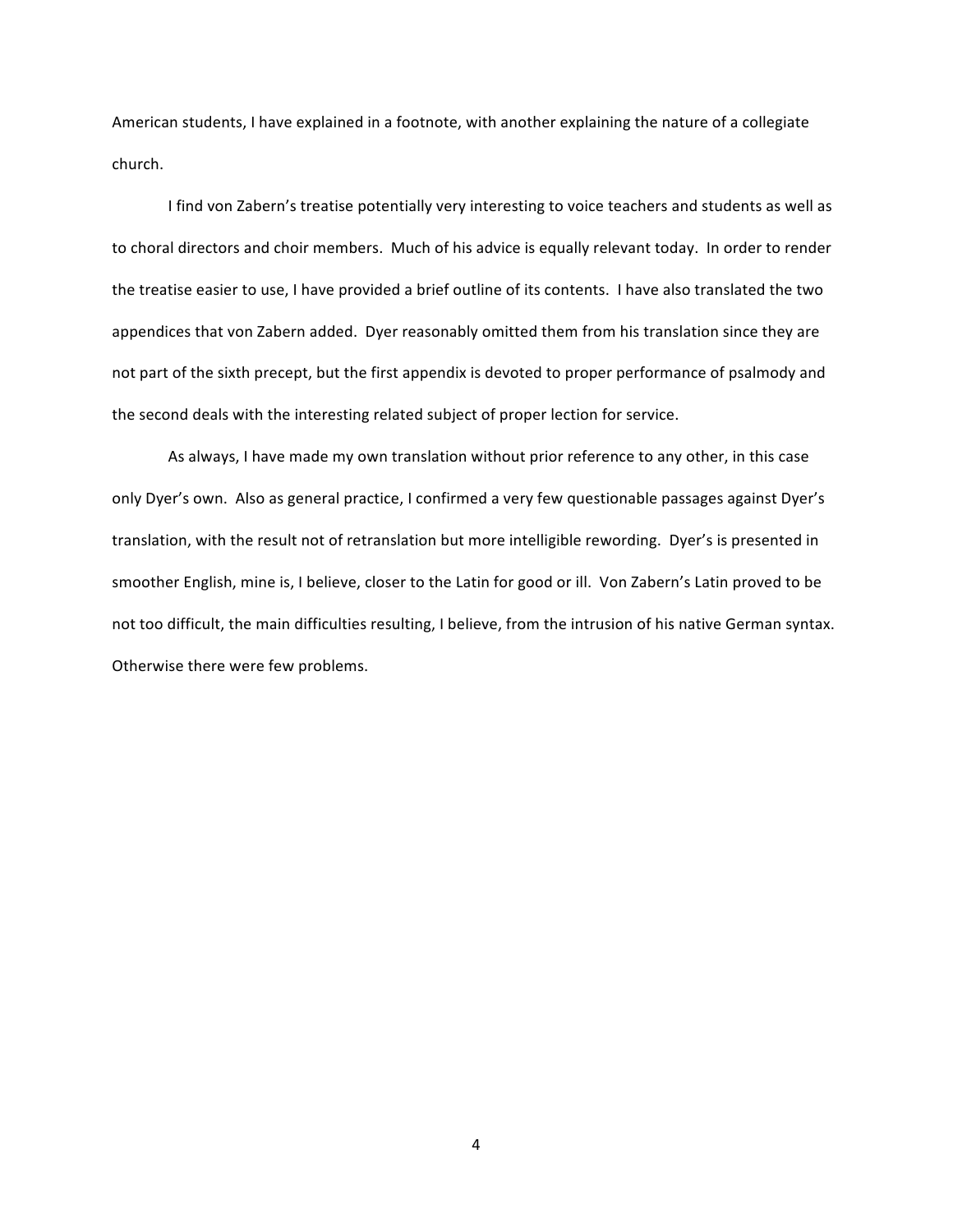American students, I have explained in a footnote, with another explaining the nature of a collegiate church.

I find von Zabern's treatise potentially very interesting to voice teachers and students as well as to choral directors and choir members. Much of his advice is equally relevant today. In order to render the treatise easier to use, I have provided a brief outline of its contents. I have also translated the two appendices that von Zabern added. Dyer reasonably omitted them from his translation since they are not part of the sixth precept, but the first appendix is devoted to proper performance of psalmody and the second deals with the interesting related subject of proper lection for service.

As always, I have made my own translation without prior reference to any other, in this case only Dyer's own. Also as general practice, I confirmed a very few questionable passages against Dyer's translation, with the result not of retranslation but more intelligible rewording. Dyer's is presented in smoother English, mine is, I believe, closer to the Latin for good or ill. Von Zabern's Latin proved to be not too difficult, the main difficulties resulting, I believe, from the intrusion of his native German syntax. Otherwise there were few problems.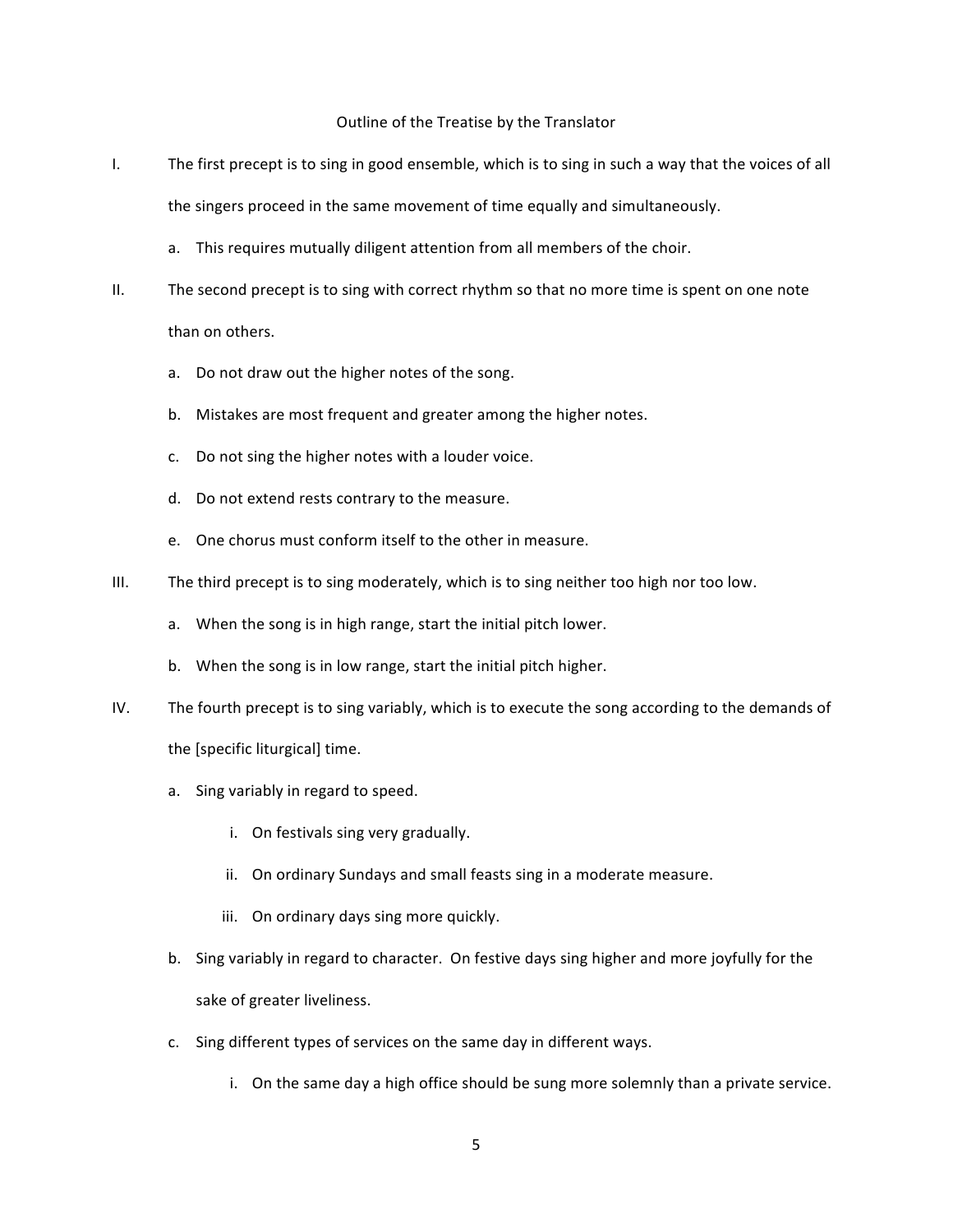### Outline of the Treatise by the Translator

- I. The first precept is to sing in good ensemble, which is to sing in such a way that the voices of all the singers proceed in the same movement of time equally and simultaneously.
	- a. This requires mutually diligent attention from all members of the choir.
- II. The second precept is to sing with correct rhythm so that no more time is spent on one note than on others.
	- a. Do not draw out the higher notes of the song.
	- b. Mistakes are most frequent and greater among the higher notes.
	- c. Do not sing the higher notes with a louder voice.
	- d. Do not extend rests contrary to the measure.
	- e. One chorus must conform itself to the other in measure.
- III. The third precept is to sing moderately, which is to sing neither too high nor too low.
	- a. When the song is in high range, start the initial pitch lower.
	- b. When the song is in low range, start the initial pitch higher.
- IV. The fourth precept is to sing variably, which is to execute the song according to the demands of the [specific liturgical] time.
	- a. Sing variably in regard to speed.
		- i. On festivals sing very gradually.
		- ii. On ordinary Sundays and small feasts sing in a moderate measure.
		- iii. On ordinary days sing more quickly.
	- b. Sing variably in regard to character. On festive days sing higher and more joyfully for the sake of greater liveliness.
	- c. Sing different types of services on the same day in different ways.
		- i. On the same day a high office should be sung more solemnly than a private service.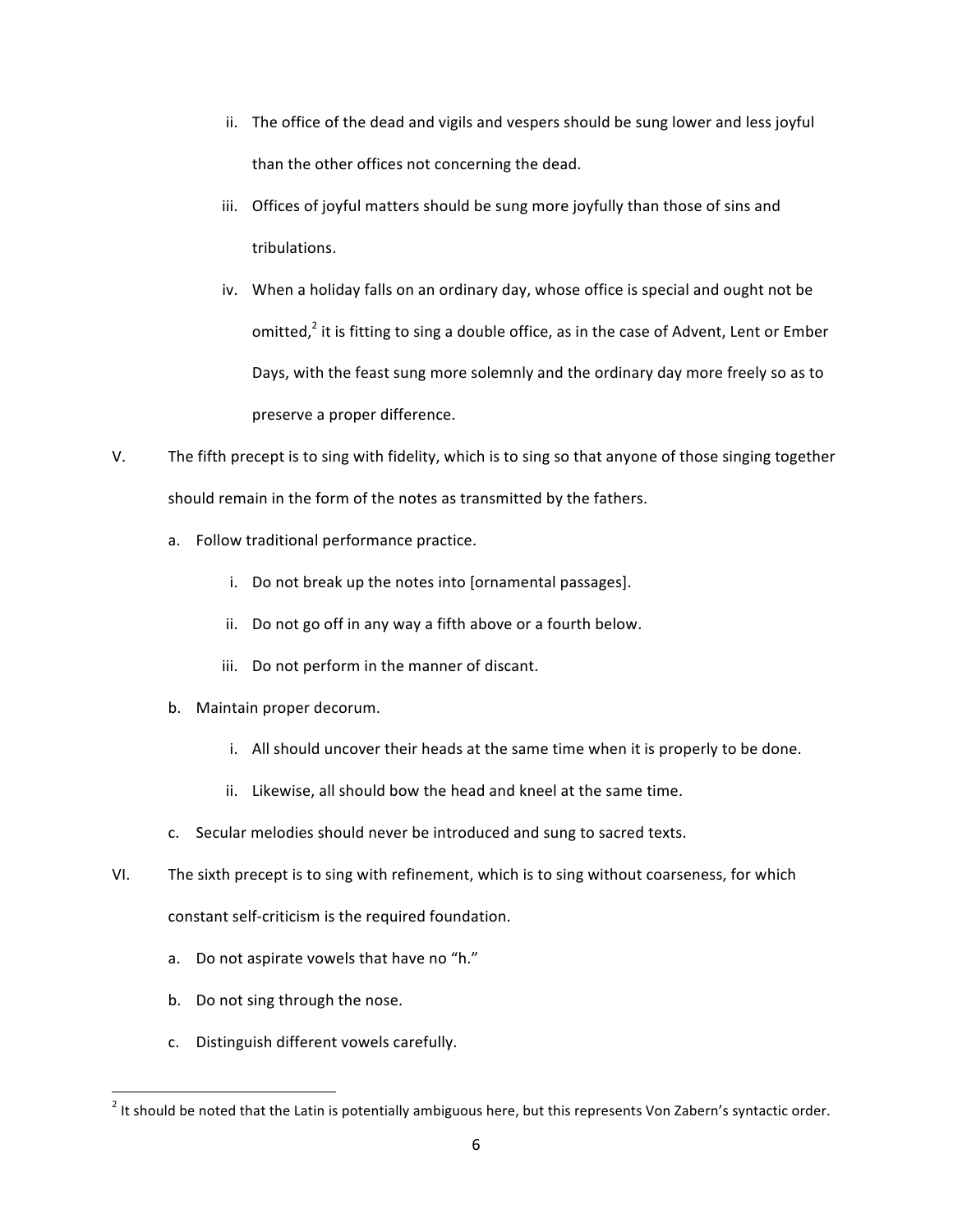- ii. The office of the dead and vigils and vespers should be sung lower and less joyful than the other offices not concerning the dead.
- iii. Offices of joyful matters should be sung more joyfully than those of sins and tribulations.
- iv. When a holiday falls on an ordinary day, whose office is special and ought not be omitted, $^2$  it is fitting to sing a double office, as in the case of Advent, Lent or Ember Days, with the feast sung more solemnly and the ordinary day more freely so as to preserve a proper difference.
- V. The fifth precept is to sing with fidelity, which is to sing so that anyone of those singing together should remain in the form of the notes as transmitted by the fathers.
	- a. Follow traditional performance practice.
		- i. Do not break up the notes into [ornamental passages].
		- ii. Do not go off in any way a fifth above or a fourth below.
		- iii. Do not perform in the manner of discant.
	- b. Maintain proper decorum.
		- i. All should uncover their heads at the same time when it is properly to be done.
		- ii. Likewise, all should bow the head and kneel at the same time.
	- c. Secular melodies should never be introduced and sung to sacred texts.
- VI. The sixth precept is to sing with refinement, which is to sing without coarseness, for which constant self-criticism is the required foundation.
	- a. Do not aspirate vowels that have no "h."
	- b. Do not sing through the nose.

<u> 1989 - Johann Barn, mars ann an t-Amhain an t-Amhain an t-Amhain an t-Amhain an t-Amhain an t-Amhain an t-Amh</u>

c. Distinguish different vowels carefully.

 $^2$  It should be noted that the Latin is potentially ambiguous here, but this represents Von Zabern's syntactic order.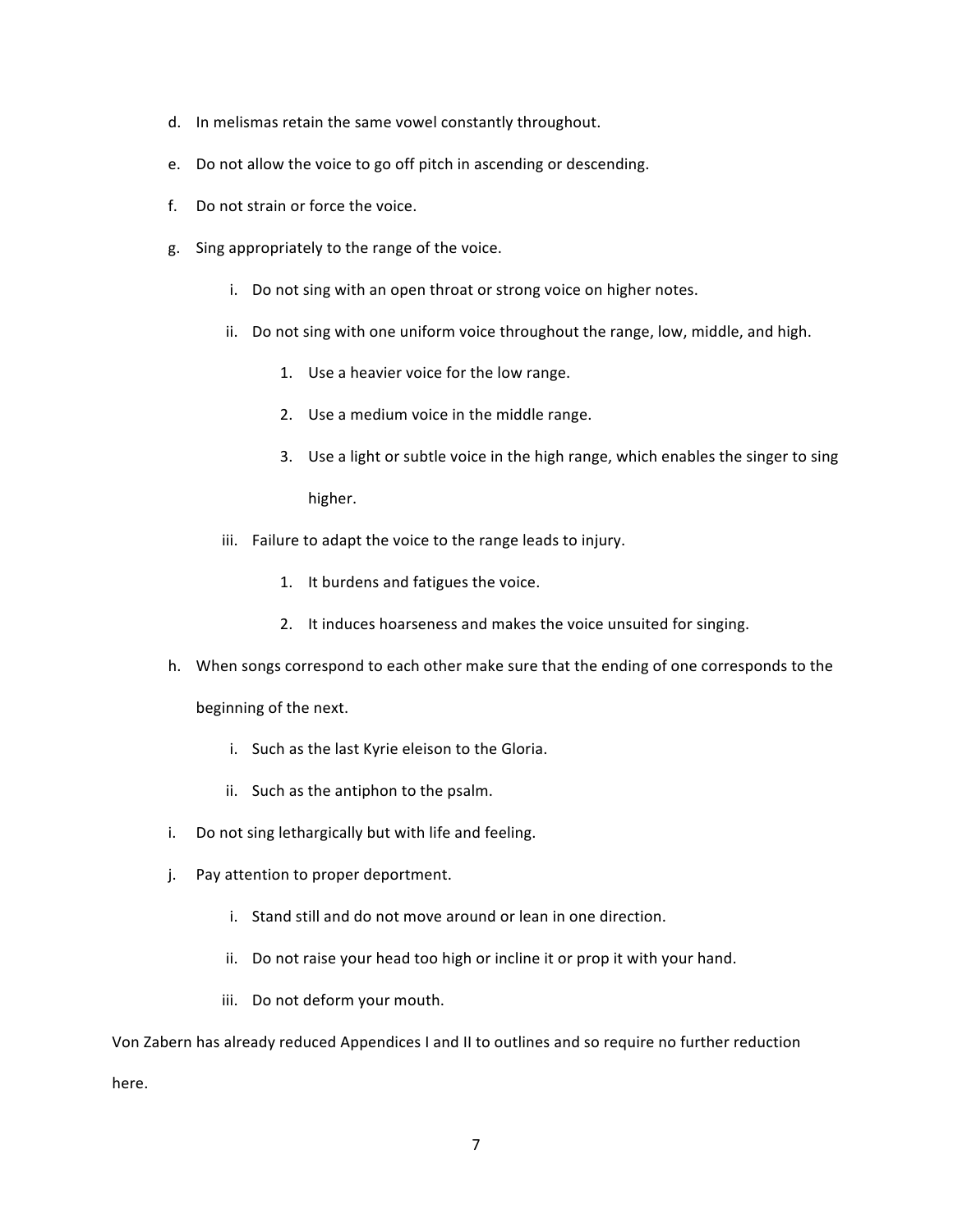- d. In melismas retain the same vowel constantly throughout.
- e. Do not allow the voice to go off pitch in ascending or descending.
- f. Do not strain or force the voice.
- g. Sing appropriately to the range of the voice.
	- i. Do not sing with an open throat or strong voice on higher notes.
	- ii. Do not sing with one uniform voice throughout the range, low, middle, and high.
		- 1. Use a heavier voice for the low range.
		- 2. Use a medium voice in the middle range.
		- 3. Use a light or subtle voice in the high range, which enables the singer to sing higher.
	- iii. Failure to adapt the voice to the range leads to injury.
		- 1. It burdens and fatigues the voice.
		- 2. It induces hoarseness and makes the voice unsuited for singing.
- h. When songs correspond to each other make sure that the ending of one corresponds to the

beginning of the next.

- i. Such as the last Kyrie eleison to the Gloria.
- ii. Such as the antiphon to the psalm.
- i. Do not sing lethargically but with life and feeling.
- j. Pay attention to proper deportment.
	- i. Stand still and do not move around or lean in one direction.
	- ii. Do not raise your head too high or incline it or prop it with your hand.
	- iii. Do not deform your mouth.

Von Zabern has already reduced Appendices I and II to outlines and so require no further reduction here.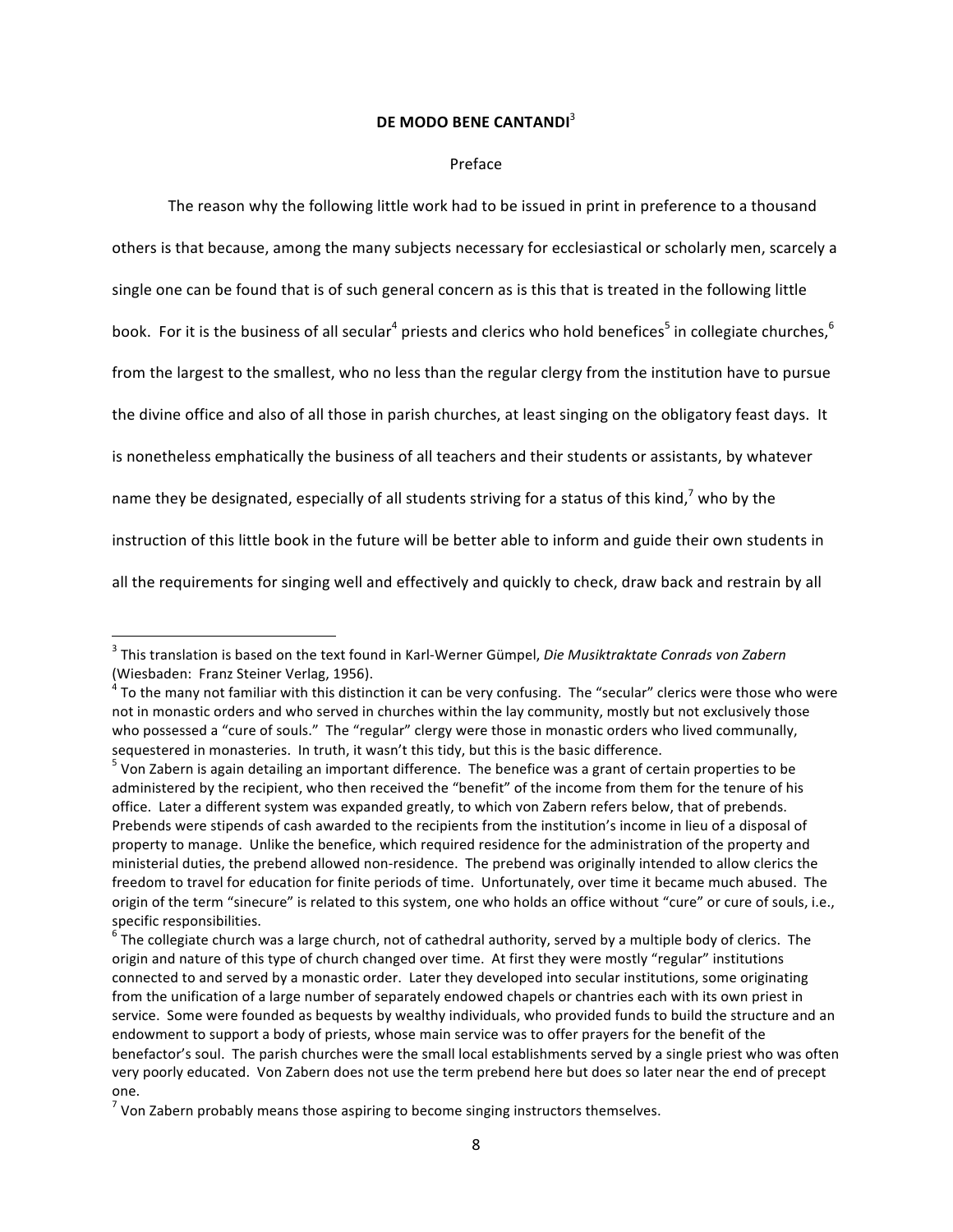# **DE MODO BENE CANTANDI**<sup>3</sup>

#### Preface

The reason why the following little work had to be issued in print in preference to a thousand others is that because, among the many subjects necessary for ecclesiastical or scholarly men, scarcely a single one can be found that is of such general concern as is this that is treated in the following little book. For it is the business of all secular<sup>4</sup> priests and clerics who hold benefices<sup>5</sup> in collegiate churches,<sup>6</sup> from the largest to the smallest, who no less than the regular clergy from the institution have to pursue the divine office and also of all those in parish churches, at least singing on the obligatory feast days. It is nonetheless emphatically the business of all teachers and their students or assistants, by whatever name they be designated, especially of all students striving for a status of this kind,<sup>7</sup> who by the instruction of this little book in the future will be better able to inform and guide their own students in all the requirements for singing well and effectively and quickly to check, draw back and restrain by all

<sup>&</sup>lt;sup>3</sup> This translation is based on the text found in Karl-Werner Gümpel, *Die Musiktraktate Conrads von Zabern* (Wiesbaden: Franz Steiner Verlag, 1956).

 $4$  To the many not familiar with this distinction it can be very confusing. The "secular" clerics were those who were not in monastic orders and who served in churches within the lay community, mostly but not exclusively those who possessed a "cure of souls." The "regular" clergy were those in monastic orders who lived communally, sequestered in monasteries. In truth, it wasn't this tidy, but this is the basic difference.

 $<sup>5</sup>$  Von Zabern is again detailing an important difference. The benefice was a grant of certain properties to be</sup> administered by the recipient, who then received the "benefit" of the income from them for the tenure of his office. Later a different system was expanded greatly, to which von Zabern refers below, that of prebends. Prebends were stipends of cash awarded to the recipients from the institution's income in lieu of a disposal of property to manage. Unlike the benefice, which required residence for the administration of the property and ministerial duties, the prebend allowed non-residence. The prebend was originally intended to allow clerics the freedom to travel for education for finite periods of time. Unfortunately, over time it became much abused. The origin of the term "sinecure" is related to this system, one who holds an office without "cure" or cure of souls, i.e., specific responsibilities.

 $^6$  The collegiate church was a large church, not of cathedral authority, served by a multiple body of clerics. The origin and nature of this type of church changed over time. At first they were mostly "regular" institutions connected to and served by a monastic order. Later they developed into secular institutions, some originating from the unification of a large number of separately endowed chapels or chantries each with its own priest in service. Some were founded as bequests by wealthy individuals, who provided funds to build the structure and an endowment to support a body of priests, whose main service was to offer prayers for the benefit of the benefactor's soul. The parish churches were the small local establishments served by a single priest who was often very poorly educated. Von Zabern does not use the term prebend here but does so later near the end of precept one.

 $<sup>7</sup>$  Von Zabern probably means those aspiring to become singing instructors themselves.</sup>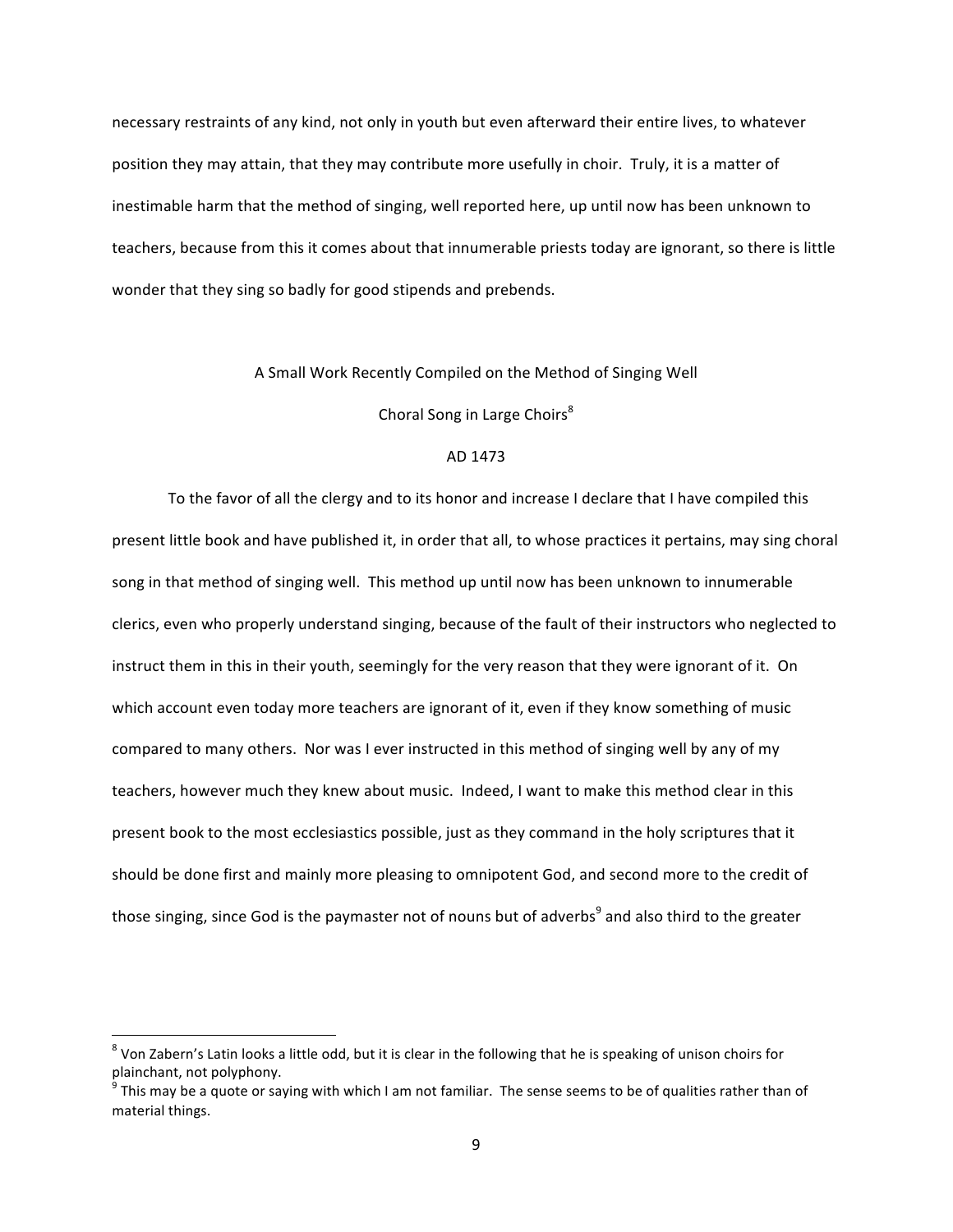necessary restraints of any kind, not only in youth but even afterward their entire lives, to whatever position they may attain, that they may contribute more usefully in choir. Truly, it is a matter of inestimable harm that the method of singing, well reported here, up until now has been unknown to teachers, because from this it comes about that innumerable priests today are ignorant, so there is little wonder that they sing so badly for good stipends and prebends.

#### A Small Work Recently Compiled on the Method of Singing Well

Choral Song in Large Choirs<sup>8</sup>

#### AD 1473

To the favor of all the clergy and to its honor and increase I declare that I have compiled this present little book and have published it, in order that all, to whose practices it pertains, may sing choral song in that method of singing well. This method up until now has been unknown to innumerable clerics, even who properly understand singing, because of the fault of their instructors who neglected to instruct them in this in their youth, seemingly for the very reason that they were ignorant of it. On which account even today more teachers are ignorant of it, even if they know something of music compared to many others. Nor was I ever instructed in this method of singing well by any of my teachers, however much they knew about music. Indeed, I want to make this method clear in this present book to the most ecclesiastics possible, just as they command in the holy scriptures that it should be done first and mainly more pleasing to omnipotent God, and second more to the credit of those singing, since God is the paymaster not of nouns but of adverbs<sup>9</sup> and also third to the greater

 $8$  Von Zabern's Latin looks a little odd, but it is clear in the following that he is speaking of unison choirs for plainchant, not polyphony.

 $^9$  This may be a quote or saying with which I am not familiar. The sense seems to be of qualities rather than of material things.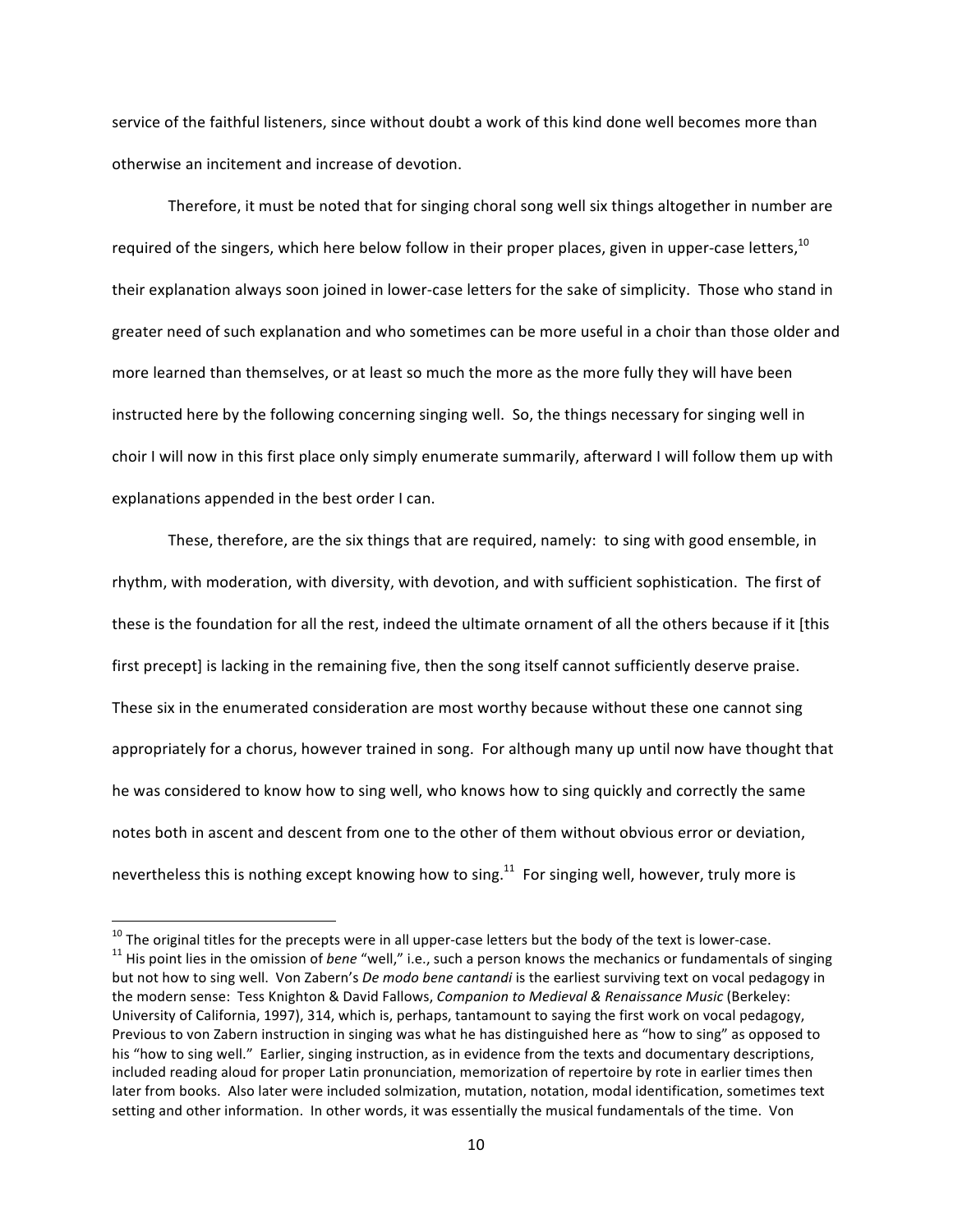service of the faithful listeners, since without doubt a work of this kind done well becomes more than otherwise an incitement and increase of devotion.

Therefore, it must be noted that for singing choral song well six things altogether in number are required of the singers, which here below follow in their proper places, given in upper-case letters,  $10$ their explanation always soon joined in lower-case letters for the sake of simplicity. Those who stand in greater need of such explanation and who sometimes can be more useful in a choir than those older and more learned than themselves, or at least so much the more as the more fully they will have been instructed here by the following concerning singing well. So, the things necessary for singing well in choir I will now in this first place only simply enumerate summarily, afterward I will follow them up with explanations appended in the best order I can.

These, therefore, are the six things that are required, namely: to sing with good ensemble, in rhythm, with moderation, with diversity, with devotion, and with sufficient sophistication. The first of these is the foundation for all the rest, indeed the ultimate ornament of all the others because if it [this first precept] is lacking in the remaining five, then the song itself cannot sufficiently deserve praise. These six in the enumerated consideration are most worthy because without these one cannot sing appropriately for a chorus, however trained in song. For although many up until now have thought that he was considered to know how to sing well, who knows how to sing quickly and correctly the same notes both in ascent and descent from one to the other of them without obvious error or deviation, nevertheless this is nothing except knowing how to sing.<sup>11</sup> For singing well, however, truly more is

<sup>&</sup>lt;sup>10</sup> The original titles for the precepts were in all upper-case letters but the body of the text is lower-case.<br><sup>11</sup> His point lies in the omission of *bene* "well," i.e., such a person knows the mechanics or fundamental but not how to sing well. Von Zabern's *De modo bene cantandi* is the earliest surviving text on vocal pedagogy in the modern sense: Tess Knighton & David Fallows, *Companion to Medieval & Renaissance Music* (Berkeley: University of California, 1997), 314, which is, perhaps, tantamount to saying the first work on vocal pedagogy, Previous to von Zabern instruction in singing was what he has distinguished here as "how to sing" as opposed to his "how to sing well." Earlier, singing instruction, as in evidence from the texts and documentary descriptions, included reading aloud for proper Latin pronunciation, memorization of repertoire by rote in earlier times then later from books. Also later were included solmization, mutation, notation, modal identification, sometimes text setting and other information. In other words, it was essentially the musical fundamentals of the time. Von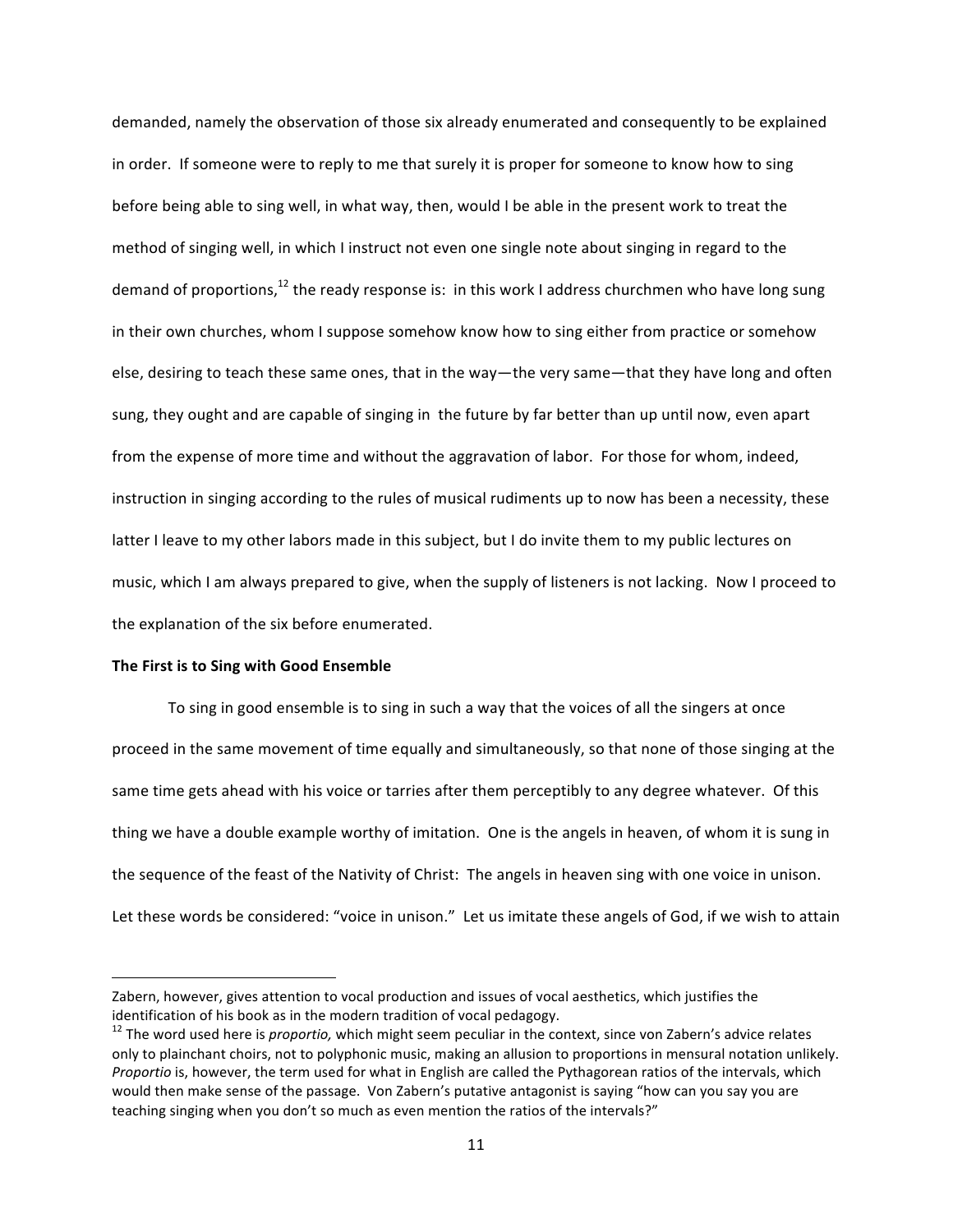demanded, namely the observation of those six already enumerated and consequently to be explained in order. If someone were to reply to me that surely it is proper for someone to know how to sing before being able to sing well, in what way, then, would I be able in the present work to treat the method of singing well, in which I instruct not even one single note about singing in regard to the demand of proportions,<sup>12</sup> the ready response is: in this work I address churchmen who have long sung in their own churches, whom I suppose somehow know how to sing either from practice or somehow else, desiring to teach these same ones, that in the way—the very same—that they have long and often sung, they ought and are capable of singing in the future by far better than up until now, even apart from the expense of more time and without the aggravation of labor. For those for whom, indeed, instruction in singing according to the rules of musical rudiments up to now has been a necessity, these latter I leave to my other labors made in this subject, but I do invite them to my public lectures on music, which I am always prepared to give, when the supply of listeners is not lacking. Now I proceed to the explanation of the six before enumerated.

# **The First is to Sing with Good Ensemble**

<u> 1989 - Johann Barn, mars ann an t-Amhain an t-Amhain an t-Amhain an t-Amhain an t-Amhain an t-Amhain an t-Amh</u>

To sing in good ensemble is to sing in such a way that the voices of all the singers at once proceed in the same movement of time equally and simultaneously, so that none of those singing at the same time gets ahead with his voice or tarries after them perceptibly to any degree whatever. Of this thing we have a double example worthy of imitation. One is the angels in heaven, of whom it is sung in the sequence of the feast of the Nativity of Christ: The angels in heaven sing with one voice in unison. Let these words be considered: "voice in unison." Let us imitate these angels of God, if we wish to attain

Zabern, however, gives attention to vocal production and issues of vocal aesthetics, which justifies the identification of his book as in the modern tradition of vocal pedagogy.<br><sup>12</sup> The word used here is *proportio,* which might seem peculiar in the context, since von Zabern's advice relates

only to plainchant choirs, not to polyphonic music, making an allusion to proportions in mensural notation unlikely. *Proportio* is, however, the term used for what in English are called the Pythagorean ratios of the intervals, which would then make sense of the passage. Von Zabern's putative antagonist is saying "how can you say you are teaching singing when you don't so much as even mention the ratios of the intervals?"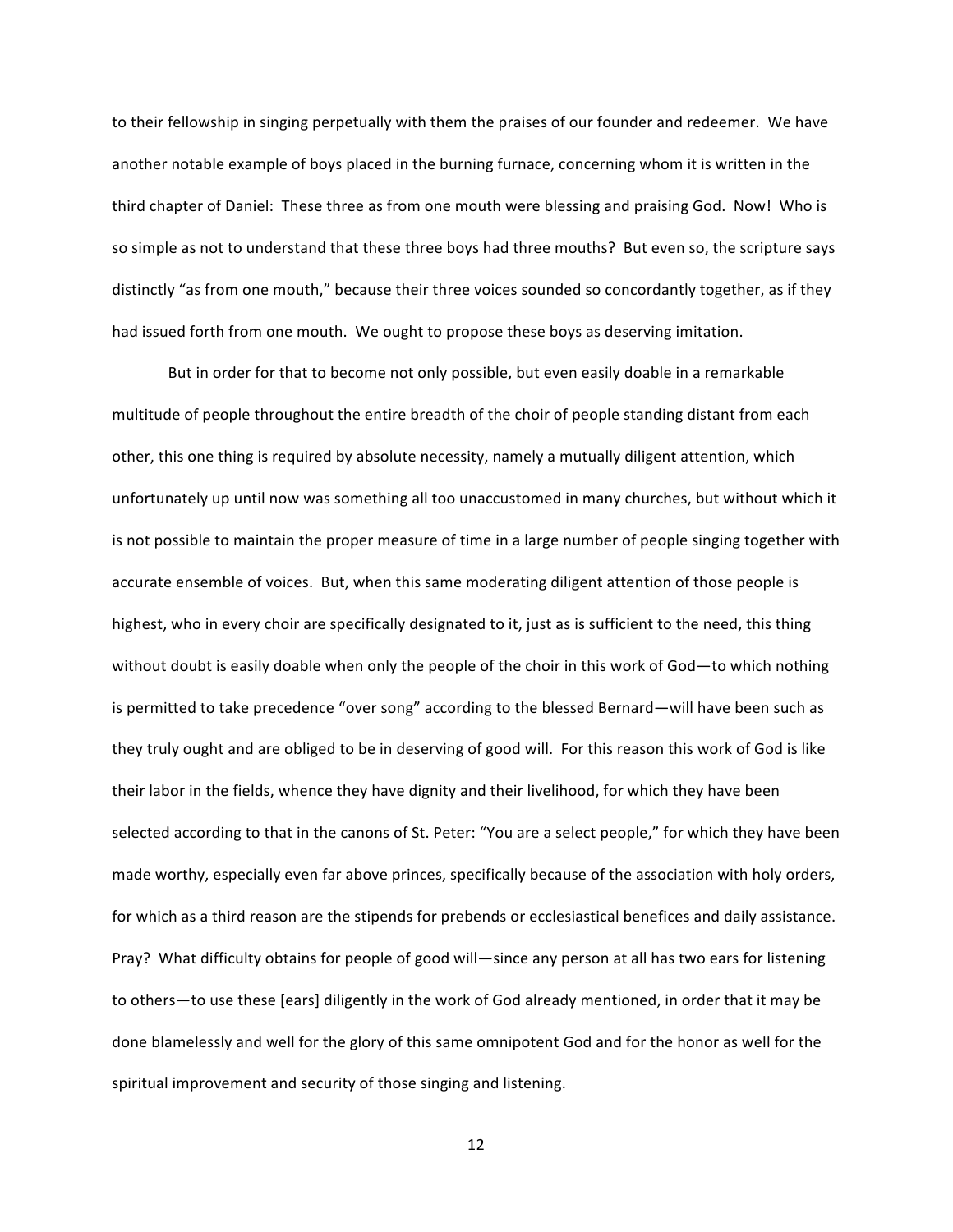to their fellowship in singing perpetually with them the praises of our founder and redeemer. We have another notable example of boys placed in the burning furnace, concerning whom it is written in the third chapter of Daniel: These three as from one mouth were blessing and praising God. Now! Who is so simple as not to understand that these three boys had three mouths? But even so, the scripture says distinctly "as from one mouth," because their three voices sounded so concordantly together, as if they had issued forth from one mouth. We ought to propose these boys as deserving imitation.

But in order for that to become not only possible, but even easily doable in a remarkable multitude of people throughout the entire breadth of the choir of people standing distant from each other, this one thing is required by absolute necessity, namely a mutually diligent attention, which unfortunately up until now was something all too unaccustomed in many churches, but without which it is not possible to maintain the proper measure of time in a large number of people singing together with accurate ensemble of voices. But, when this same moderating diligent attention of those people is highest, who in every choir are specifically designated to it, just as is sufficient to the need, this thing without doubt is easily doable when only the people of the choir in this work of God—to which nothing is permitted to take precedence "over song" according to the blessed Bernard—will have been such as they truly ought and are obliged to be in deserving of good will. For this reason this work of God is like their labor in the fields, whence they have dignity and their livelihood, for which they have been selected according to that in the canons of St. Peter: "You are a select people," for which they have been made worthy, especially even far above princes, specifically because of the association with holy orders, for which as a third reason are the stipends for prebends or ecclesiastical benefices and daily assistance. Pray? What difficulty obtains for people of good will—since any person at all has two ears for listening to others—to use these [ears] diligently in the work of God already mentioned, in order that it may be done blamelessly and well for the glory of this same omnipotent God and for the honor as well for the spiritual improvement and security of those singing and listening.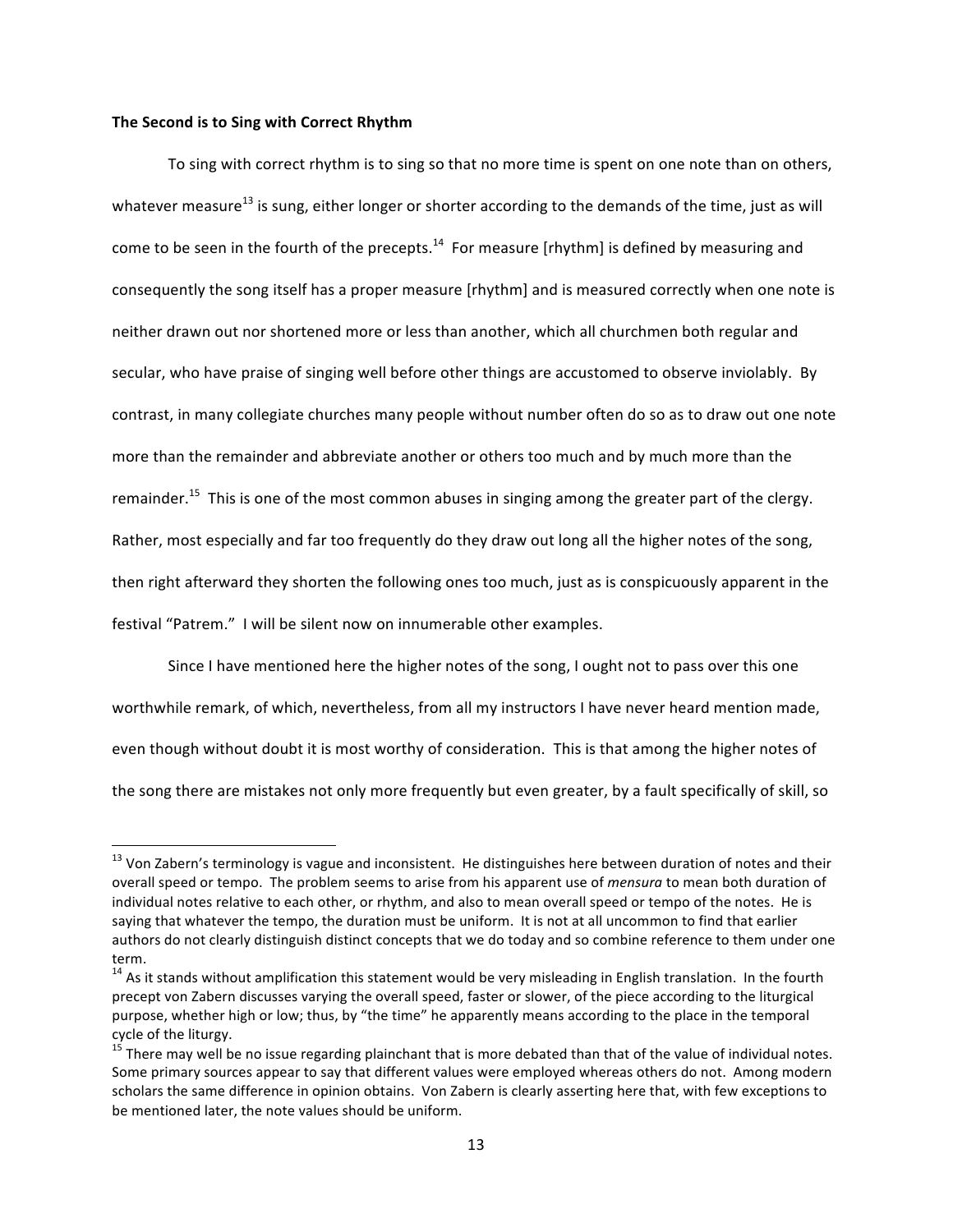#### The Second is to Sing with Correct Rhythm

<u> 1989 - Johann Barn, mars ann an t-Amhain an t-Amhain an t-Amhain an t-Amhain an t-Amhain an t-Amhain an t-Amh</u>

To sing with correct rhythm is to sing so that no more time is spent on one note than on others, whatever measure<sup>13</sup> is sung, either longer or shorter according to the demands of the time, just as will come to be seen in the fourth of the precepts.<sup>14</sup> For measure [rhythm] is defined by measuring and consequently the song itself has a proper measure [rhythm] and is measured correctly when one note is neither drawn out nor shortened more or less than another, which all churchmen both regular and secular, who have praise of singing well before other things are accustomed to observe inviolably. By contrast, in many collegiate churches many people without number often do so as to draw out one note more than the remainder and abbreviate another or others too much and by much more than the remainder.<sup>15</sup> This is one of the most common abuses in singing among the greater part of the clergy. Rather, most especially and far too frequently do they draw out long all the higher notes of the song, then right afterward they shorten the following ones too much, just as is conspicuously apparent in the festival "Patrem." I will be silent now on innumerable other examples.

Since I have mentioned here the higher notes of the song, I ought not to pass over this one worthwhile remark, of which, nevertheless, from all my instructors I have never heard mention made, even though without doubt it is most worthy of consideration. This is that among the higher notes of the song there are mistakes not only more frequently but even greater, by a fault specifically of skill, so

 $^{13}$  Von Zabern's terminology is vague and inconsistent. He distinguishes here between duration of notes and their overall speed or tempo. The problem seems to arise from his apparent use of *mensura* to mean both duration of individual notes relative to each other, or rhythm, and also to mean overall speed or tempo of the notes. He is saying that whatever the tempo, the duration must be uniform. It is not at all uncommon to find that earlier authors do not clearly distinguish distinct concepts that we do today and so combine reference to them under one term.

 $14$  As it stands without amplification this statement would be very misleading in English translation. In the fourth precept von Zabern discusses varying the overall speed, faster or slower, of the piece according to the liturgical purpose, whether high or low; thus, by "the time" he apparently means according to the place in the temporal cycle of the liturgy.

 $15$  There may well be no issue regarding plainchant that is more debated than that of the value of individual notes. Some primary sources appear to say that different values were employed whereas others do not. Among modern scholars the same difference in opinion obtains. Von Zabern is clearly asserting here that, with few exceptions to be mentioned later, the note values should be uniform.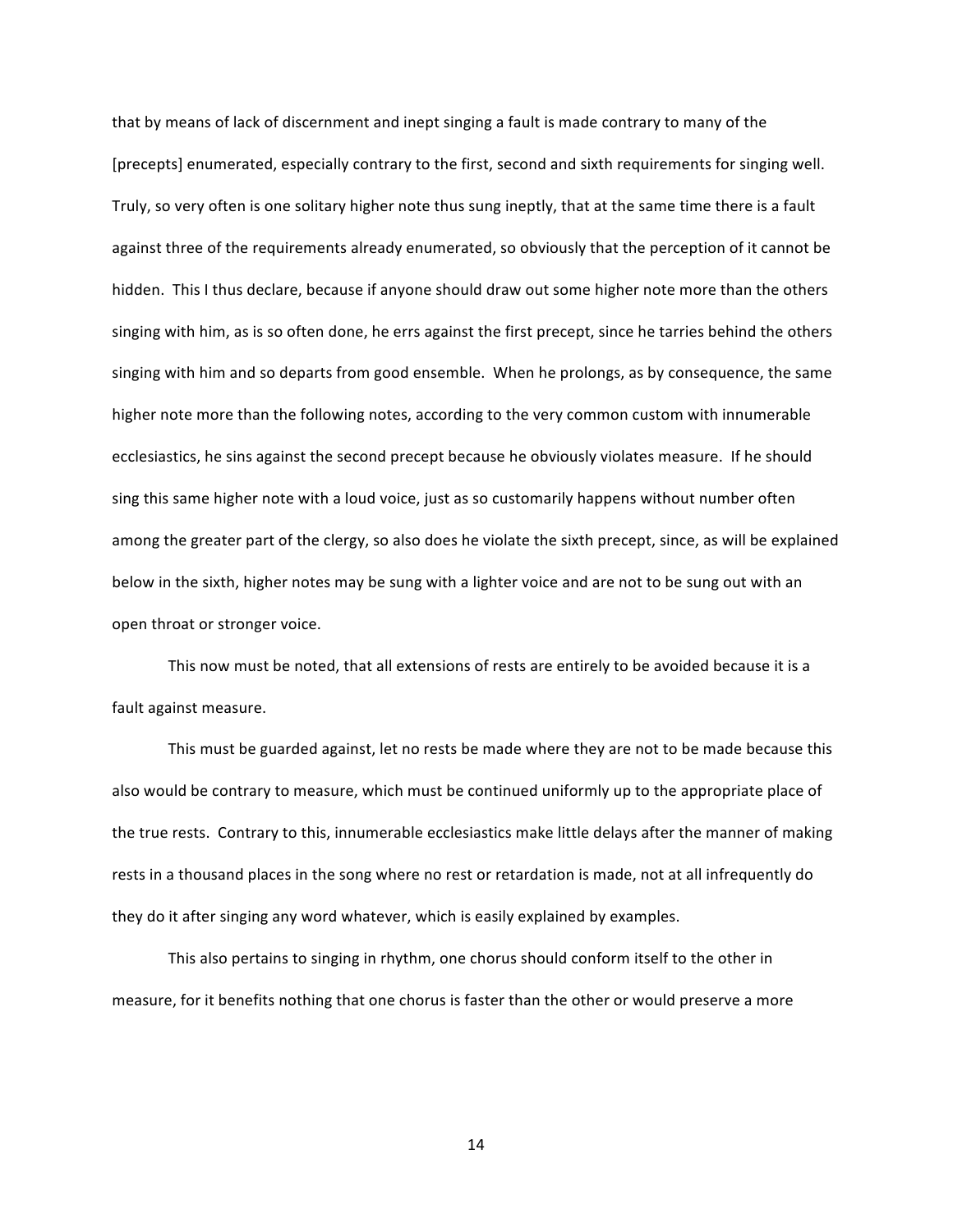that by means of lack of discernment and inept singing a fault is made contrary to many of the [precepts] enumerated, especially contrary to the first, second and sixth requirements for singing well. Truly, so very often is one solitary higher note thus sung ineptly, that at the same time there is a fault against three of the requirements already enumerated, so obviously that the perception of it cannot be hidden. This I thus declare, because if anyone should draw out some higher note more than the others singing with him, as is so often done, he errs against the first precept, since he tarries behind the others singing with him and so departs from good ensemble. When he prolongs, as by consequence, the same higher note more than the following notes, according to the very common custom with innumerable ecclesiastics, he sins against the second precept because he obviously violates measure. If he should sing this same higher note with a loud voice, just as so customarily happens without number often among the greater part of the clergy, so also does he violate the sixth precept, since, as will be explained below in the sixth, higher notes may be sung with a lighter voice and are not to be sung out with an open throat or stronger voice.

This now must be noted, that all extensions of rests are entirely to be avoided because it is a fault against measure.

This must be guarded against, let no rests be made where they are not to be made because this also would be contrary to measure, which must be continued uniformly up to the appropriate place of the true rests. Contrary to this, innumerable ecclesiastics make little delays after the manner of making rests in a thousand places in the song where no rest or retardation is made, not at all infrequently do they do it after singing any word whatever, which is easily explained by examples.

This also pertains to singing in rhythm, one chorus should conform itself to the other in measure, for it benefits nothing that one chorus is faster than the other or would preserve a more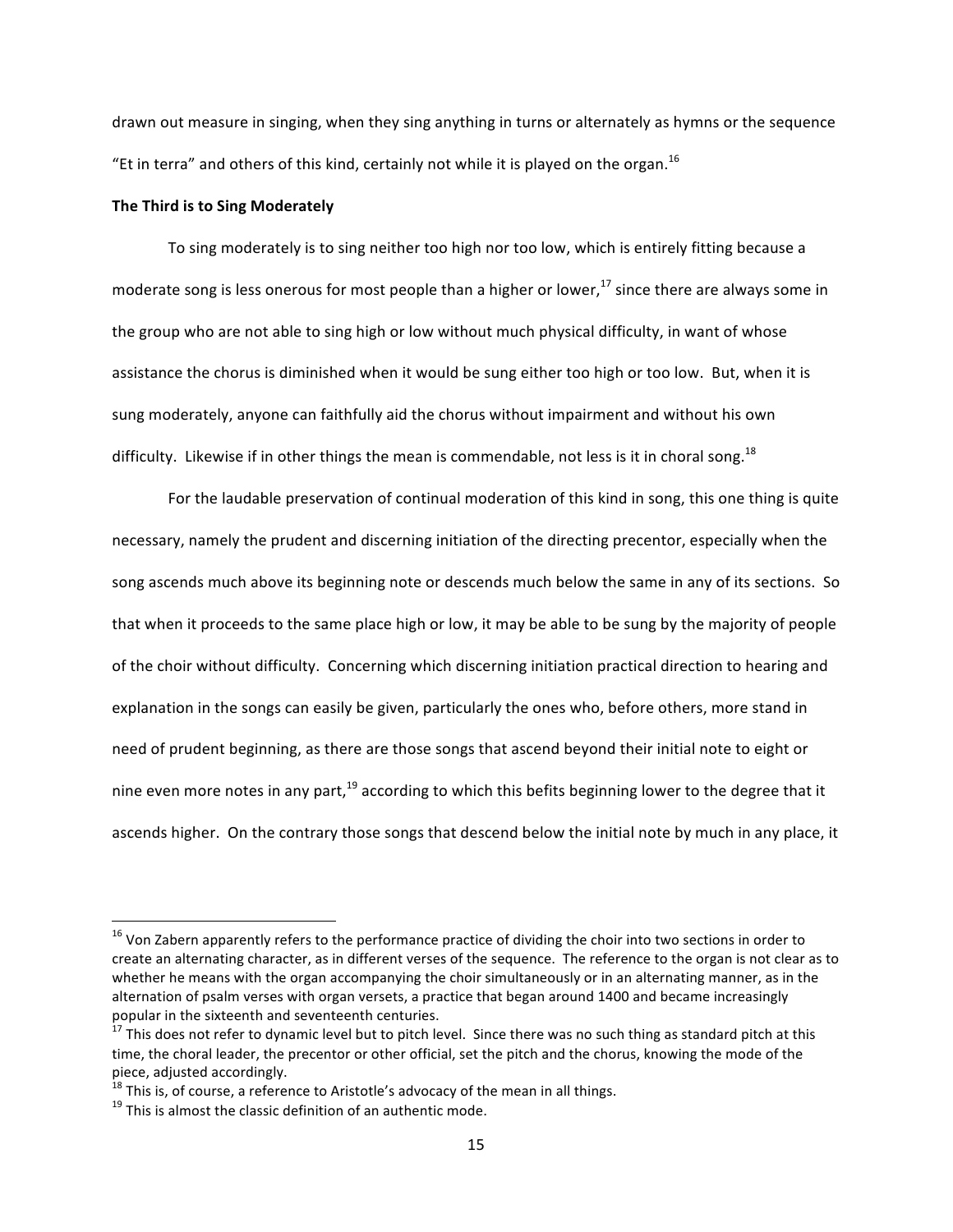drawn out measure in singing, when they sing anything in turns or alternately as hymns or the sequence "Et in terra" and others of this kind, certainly not while it is played on the organ.<sup>16</sup>

# **The Third is to Sing Moderately**

To sing moderately is to sing neither too high nor too low, which is entirely fitting because a moderate song is less onerous for most people than a higher or lower,  $^{17}$  since there are always some in the group who are not able to sing high or low without much physical difficulty, in want of whose assistance the chorus is diminished when it would be sung either too high or too low. But, when it is sung moderately, anyone can faithfully aid the chorus without impairment and without his own difficulty. Likewise if in other things the mean is commendable, not less is it in choral song.<sup>18</sup>

For the laudable preservation of continual moderation of this kind in song, this one thing is quite necessary, namely the prudent and discerning initiation of the directing precentor, especially when the song ascends much above its beginning note or descends much below the same in any of its sections. So that when it proceeds to the same place high or low, it may be able to be sung by the majority of people of the choir without difficulty. Concerning which discerning initiation practical direction to hearing and explanation in the songs can easily be given, particularly the ones who, before others, more stand in need of prudent beginning, as there are those songs that ascend beyond their initial note to eight or nine even more notes in any part,<sup>19</sup> according to which this befits beginning lower to the degree that it ascends higher. On the contrary those songs that descend below the initial note by much in any place, it

 $16$  Von Zabern apparently refers to the performance practice of dividing the choir into two sections in order to create an alternating character, as in different verses of the sequence. The reference to the organ is not clear as to whether he means with the organ accompanying the choir simultaneously or in an alternating manner, as in the alternation of psalm verses with organ versets, a practice that began around 1400 and became increasingly popular in the sixteenth and seventeenth centuries.

 $^{17}$  This does not refer to dynamic level but to pitch level. Since there was no such thing as standard pitch at this time, the choral leader, the precentor or other official, set the pitch and the chorus, knowing the mode of the piece, adjusted accordingly.

 $18$  This is, of course, a reference to Aristotle's advocacy of the mean in all things.<br> $19$  This is almost the classic definition of an authentic mode.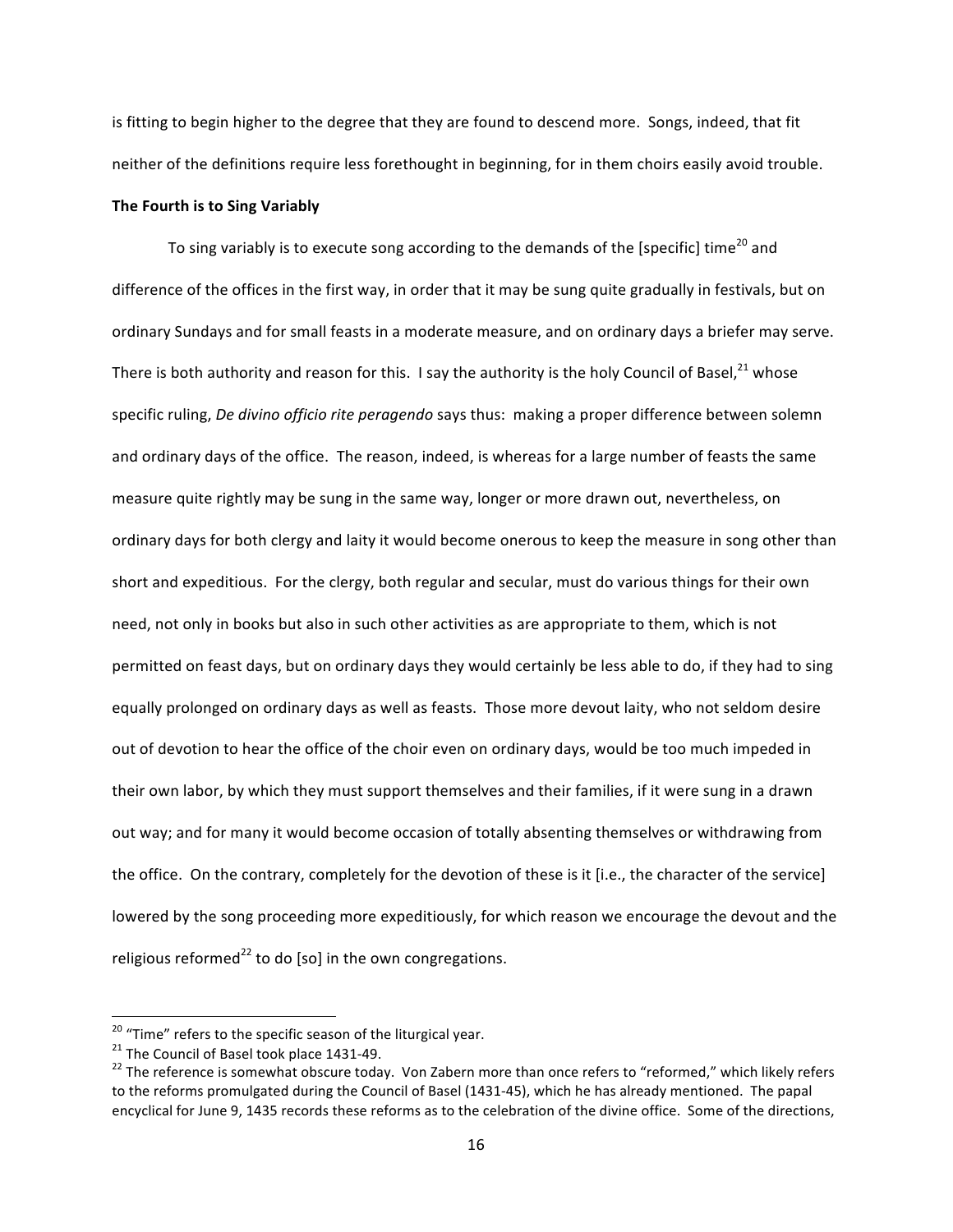is fitting to begin higher to the degree that they are found to descend more. Songs, indeed, that fit neither of the definitions require less forethought in beginning, for in them choirs easily avoid trouble. **The Fourth is to Sing Variably** 

To sing variably is to execute song according to the demands of the [specific] time<sup>20</sup> and difference of the offices in the first way, in order that it may be sung quite gradually in festivals, but on ordinary Sundays and for small feasts in a moderate measure, and on ordinary days a briefer may serve. There is both authority and reason for this. I say the authority is the holy Council of Basel,  $21$  whose specific ruling, *De divino officio rite peragendo* says thus: making a proper difference between solemn and ordinary days of the office. The reason, indeed, is whereas for a large number of feasts the same measure quite rightly may be sung in the same way, longer or more drawn out, nevertheless, on ordinary days for both clergy and laity it would become onerous to keep the measure in song other than short and expeditious. For the clergy, both regular and secular, must do various things for their own need, not only in books but also in such other activities as are appropriate to them, which is not permitted on feast days, but on ordinary days they would certainly be less able to do, if they had to sing equally prolonged on ordinary days as well as feasts. Those more devout laity, who not seldom desire out of devotion to hear the office of the choir even on ordinary days, would be too much impeded in their own labor, by which they must support themselves and their families, if it were sung in a drawn out way; and for many it would become occasion of totally absenting themselves or withdrawing from the office. On the contrary, completely for the devotion of these is it [i.e., the character of the service] lowered by the song proceeding more expeditiously, for which reason we encourage the devout and the religious reformed<sup>22</sup> to do [so] in the own congregations.

<sup>&</sup>lt;sup>20</sup> "Time" refers to the specific season of the liturgical year.<br><sup>21</sup> The Council of Basel took place 1431-49.<br><sup>22</sup> The reference is somewhat obscure today. Von Zabern more than once refers to "reformed," which likely re to the reforms promulgated during the Council of Basel (1431-45), which he has already mentioned. The papal encyclical for June 9, 1435 records these reforms as to the celebration of the divine office. Some of the directions,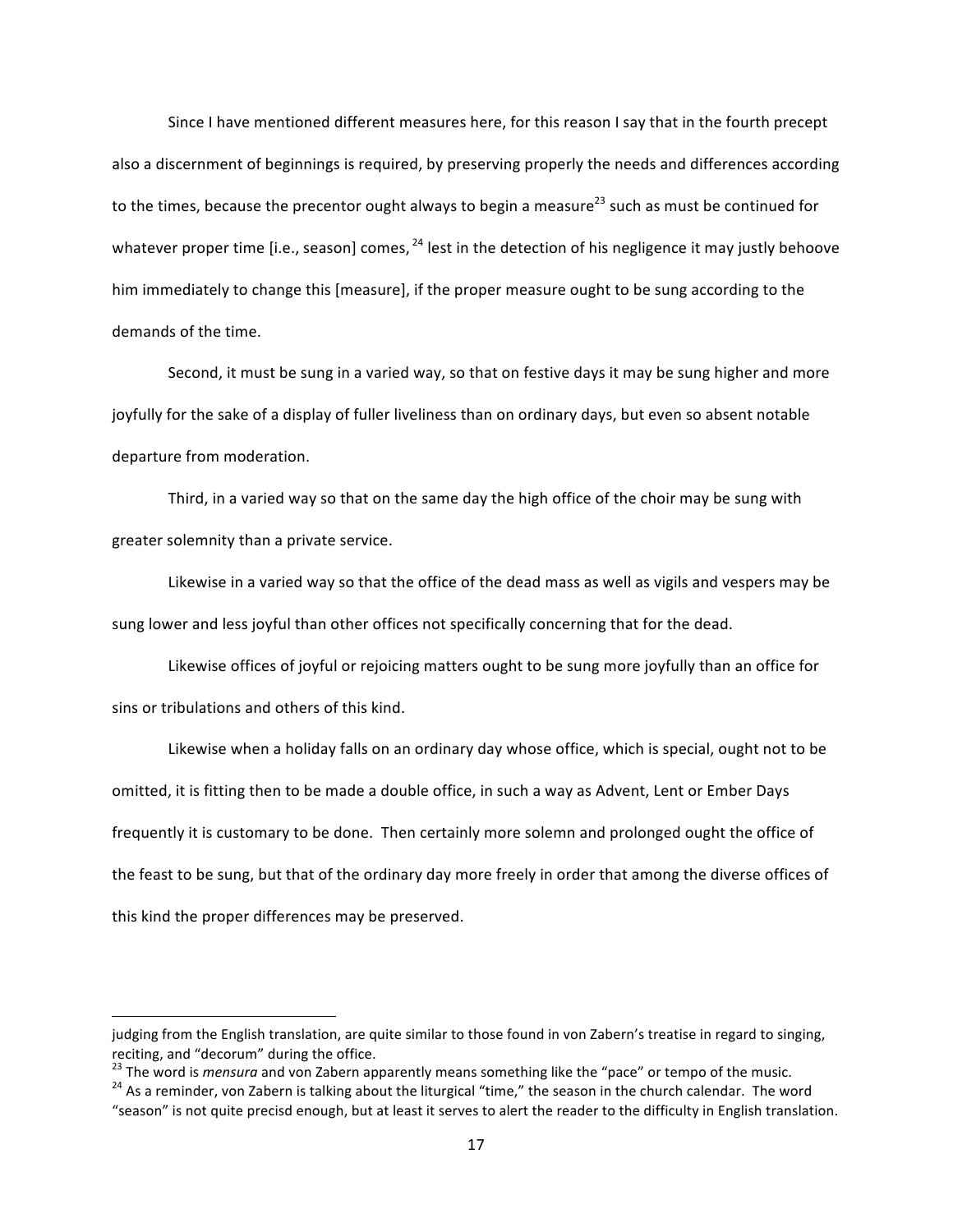Since I have mentioned different measures here, for this reason I say that in the fourth precept also a discernment of beginnings is required, by preserving properly the needs and differences according to the times, because the precentor ought always to begin a measure<sup>23</sup> such as must be continued for whatever proper time [i.e., season] comes,  $^{24}$  lest in the detection of his negligence it may justly behoove him immediately to change this [measure], if the proper measure ought to be sung according to the demands of the time.

Second, it must be sung in a varied way, so that on festive days it may be sung higher and more joyfully for the sake of a display of fuller liveliness than on ordinary days, but even so absent notable departure from moderation.

Third, in a varied way so that on the same day the high office of the choir may be sung with greater solemnity than a private service.

Likewise in a varied way so that the office of the dead mass as well as vigils and vespers may be sung lower and less joyful than other offices not specifically concerning that for the dead.

Likewise offices of joyful or rejoicing matters ought to be sung more joyfully than an office for sins or tribulations and others of this kind.

Likewise when a holiday falls on an ordinary day whose office, which is special, ought not to be omitted, it is fitting then to be made a double office, in such a way as Advent, Lent or Ember Days frequently it is customary to be done. Then certainly more solemn and prolonged ought the office of the feast to be sung, but that of the ordinary day more freely in order that among the diverse offices of this kind the proper differences may be preserved.

judging from the English translation, are quite similar to those found in von Zabern's treatise in regard to singing, reciting, and "decorum" during the office.

<sup>&</sup>lt;sup>23</sup> The word is *mensura* and von Zabern apparently means something like the "pace" or tempo of the music.<br><sup>24</sup> As a reminder, von Zabern is talking about the liturgical "time," the season in the church calendar. The word

<sup>&</sup>quot;season" is not quite precisd enough, but at least it serves to alert the reader to the difficulty in English translation.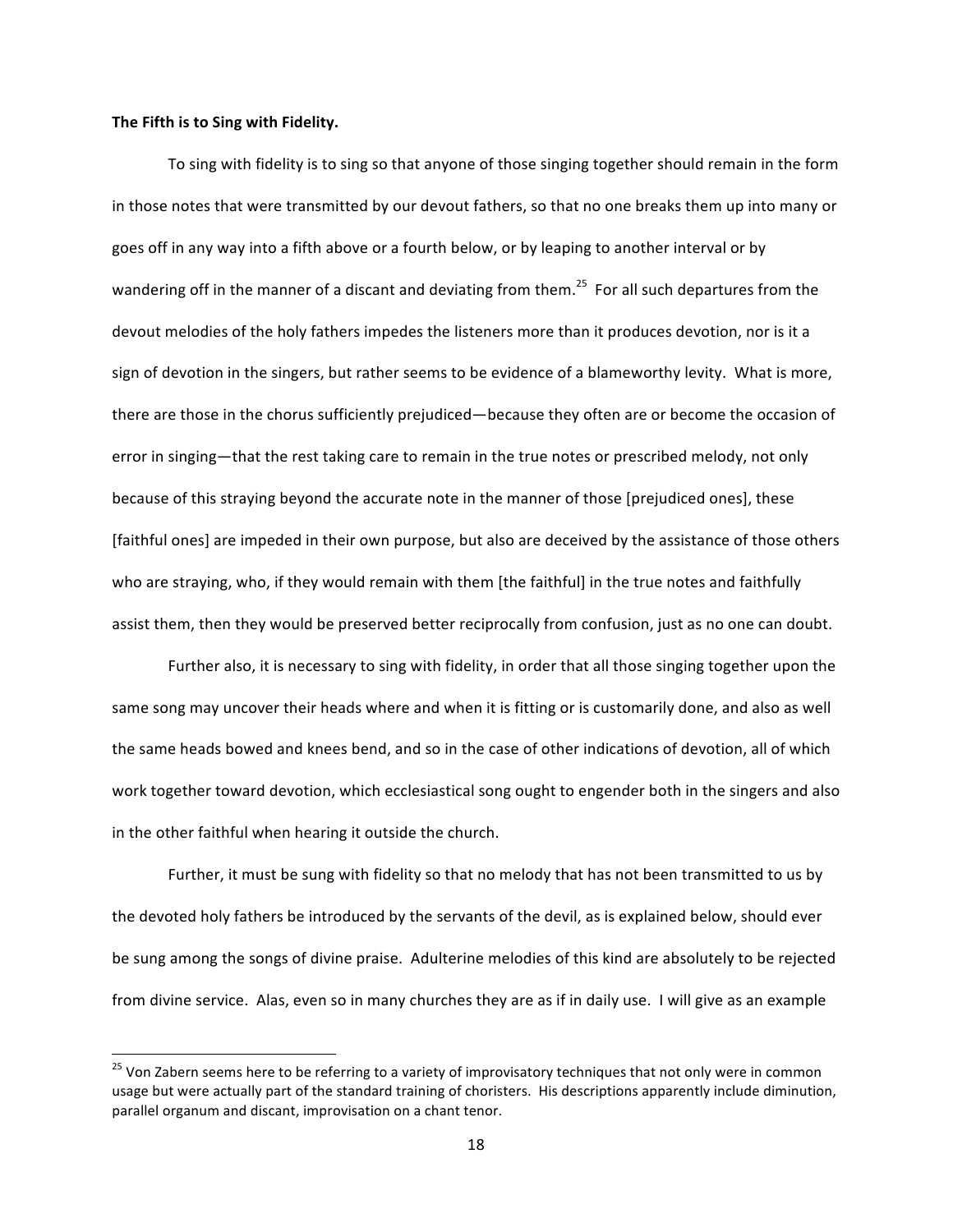#### The Fifth is to Sing with Fidelity.

<u> 1989 - Johann Barn, mars ann an t-Amhain an t-Amhain an t-Amhain an t-Amhain an t-Amhain an t-Amhain an t-Amh</u>

To sing with fidelity is to sing so that anyone of those singing together should remain in the form in those notes that were transmitted by our devout fathers, so that no one breaks them up into many or goes off in any way into a fifth above or a fourth below, or by leaping to another interval or by wandering off in the manner of a discant and deviating from them.<sup>25</sup> For all such departures from the devout melodies of the holy fathers impedes the listeners more than it produces devotion, nor is it a sign of devotion in the singers, but rather seems to be evidence of a blameworthy levity. What is more, there are those in the chorus sufficiently prejudiced—because they often are or become the occasion of error in singing—that the rest taking care to remain in the true notes or prescribed melody, not only because of this straying beyond the accurate note in the manner of those [prejudiced ones], these [faithful ones] are impeded in their own purpose, but also are deceived by the assistance of those others who are straying, who, if they would remain with them [the faithful] in the true notes and faithfully assist them, then they would be preserved better reciprocally from confusion, just as no one can doubt.

Further also, it is necessary to sing with fidelity, in order that all those singing together upon the same song may uncover their heads where and when it is fitting or is customarily done, and also as well the same heads bowed and knees bend, and so in the case of other indications of devotion, all of which work together toward devotion, which ecclesiastical song ought to engender both in the singers and also in the other faithful when hearing it outside the church.

Further, it must be sung with fidelity so that no melody that has not been transmitted to us by the devoted holy fathers be introduced by the servants of the devil, as is explained below, should ever be sung among the songs of divine praise. Adulterine melodies of this kind are absolutely to be rejected from divine service. Alas, even so in many churches they are as if in daily use. I will give as an example

 $25$  Von Zabern seems here to be referring to a variety of improvisatory techniques that not only were in common usage but were actually part of the standard training of choristers. His descriptions apparently include diminution, parallel organum and discant, improvisation on a chant tenor.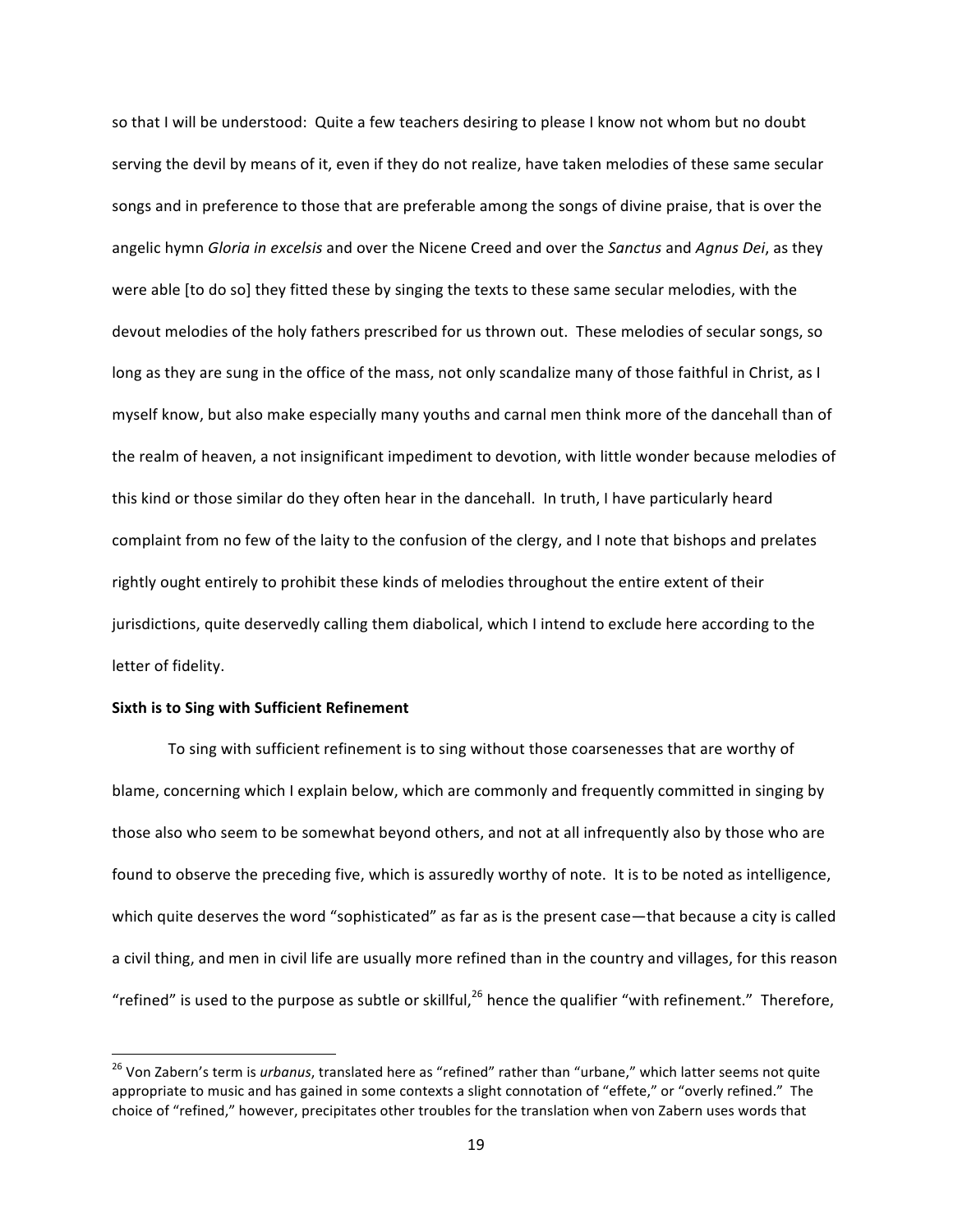so that I will be understood: Quite a few teachers desiring to please I know not whom but no doubt serving the devil by means of it, even if they do not realize, have taken melodies of these same secular songs and in preference to those that are preferable among the songs of divine praise, that is over the angelic hymn *Gloria in excelsis* and over the Nicene Creed and over the *Sanctus* and *Agnus Dei*, as they were able [to do so] they fitted these by singing the texts to these same secular melodies, with the devout melodies of the holy fathers prescribed for us thrown out. These melodies of secular songs, so long as they are sung in the office of the mass, not only scandalize many of those faithful in Christ, as I myself know, but also make especially many youths and carnal men think more of the dancehall than of the realm of heaven, a not insignificant impediment to devotion, with little wonder because melodies of this kind or those similar do they often hear in the dancehall. In truth, I have particularly heard complaint from no few of the laity to the confusion of the clergy, and I note that bishops and prelates rightly ought entirely to prohibit these kinds of melodies throughout the entire extent of their jurisdictions, quite deservedly calling them diabolical, which I intend to exclude here according to the letter of fidelity.

# **Sixth is to Sing with Sufficient Refinement**

<u> 1989 - Johann Barn, mars ann an t-Amhain an t-Amhain an t-Amhain an t-Amhain an t-Amhain an t-Amhain an t-Amh</u>

To sing with sufficient refinement is to sing without those coarsenesses that are worthy of blame, concerning which I explain below, which are commonly and frequently committed in singing by those also who seem to be somewhat beyond others, and not at all infrequently also by those who are found to observe the preceding five, which is assuredly worthy of note. It is to be noted as intelligence, which quite deserves the word "sophisticated" as far as is the present case—that because a city is called a civil thing, and men in civil life are usually more refined than in the country and villages, for this reason "refined" is used to the purpose as subtle or skillful,<sup>26</sup> hence the qualifier "with refinement." Therefore,

<sup>&</sup>lt;sup>26</sup> Von Zabern's term is *urbanus*, translated here as "refined" rather than "urbane," which latter seems not quite appropriate to music and has gained in some contexts a slight connotation of "effete," or "overly refined." The choice of "refined," however, precipitates other troubles for the translation when von Zabern uses words that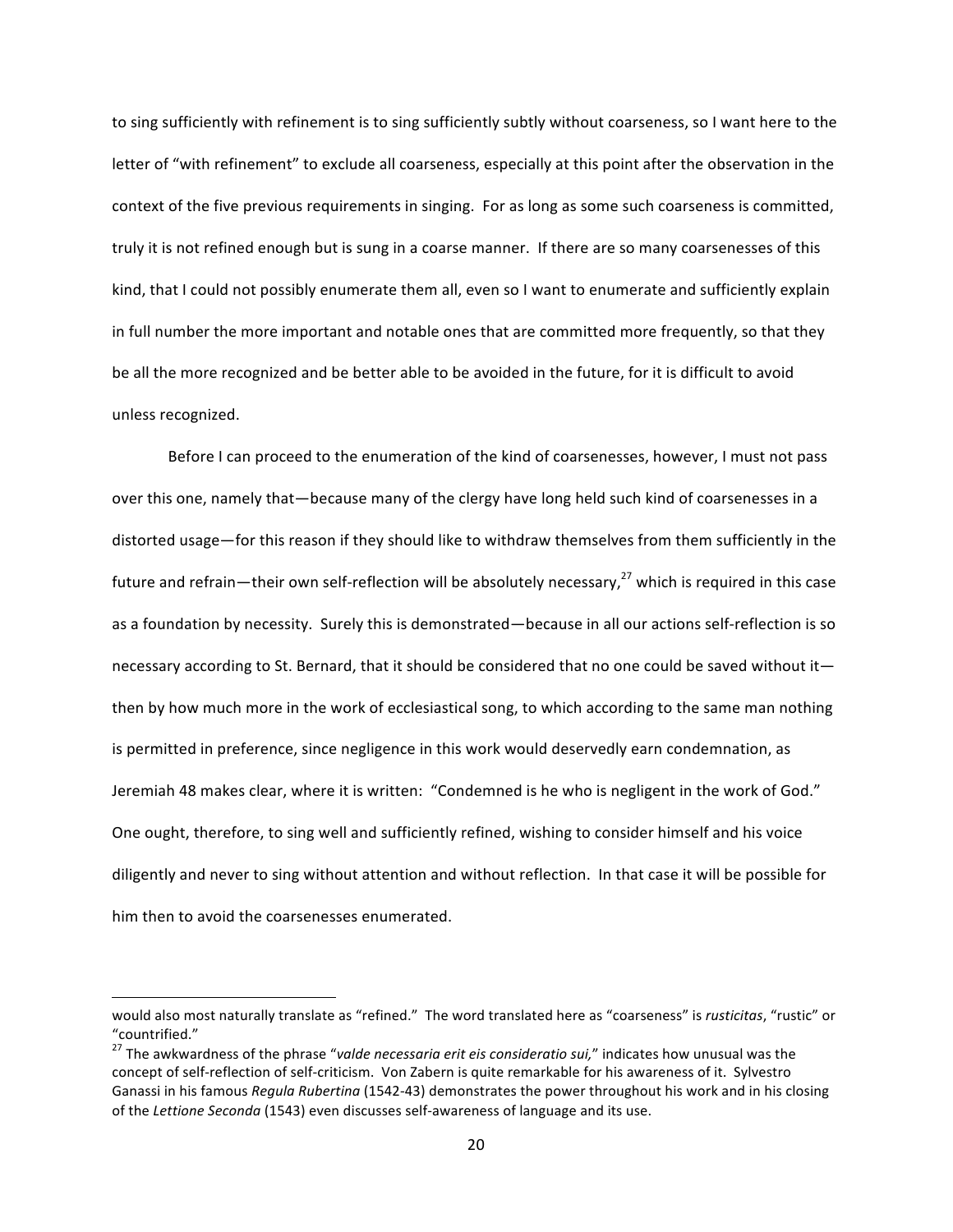to sing sufficiently with refinement is to sing sufficiently subtly without coarseness, so I want here to the letter of "with refinement" to exclude all coarseness, especially at this point after the observation in the context of the five previous requirements in singing. For as long as some such coarseness is committed, truly it is not refined enough but is sung in a coarse manner. If there are so many coarsenesses of this kind, that I could not possibly enumerate them all, even so I want to enumerate and sufficiently explain in full number the more important and notable ones that are committed more frequently, so that they be all the more recognized and be better able to be avoided in the future, for it is difficult to avoid unless recognized.

Before I can proceed to the enumeration of the kind of coarsenesses, however, I must not pass over this one, namely that—because many of the clergy have long held such kind of coarsenesses in a distorted usage—for this reason if they should like to withdraw themselves from them sufficiently in the future and refrain—their own self-reflection will be absolutely necessary,<sup>27</sup> which is required in this case as a foundation by necessity. Surely this is demonstrated—because in all our actions self-reflection is so necessary according to St. Bernard, that it should be considered that no one could be saved without it then by how much more in the work of ecclesiastical song, to which according to the same man nothing is permitted in preference, since negligence in this work would deservedly earn condemnation, as Jeremiah 48 makes clear, where it is written: "Condemned is he who is negligent in the work of God." One ought, therefore, to sing well and sufficiently refined, wishing to consider himself and his voice diligently and never to sing without attention and without reflection. In that case it will be possible for him then to avoid the coarsenesses enumerated.

would also most naturally translate as "refined." The word translated here as "coarseness" is rusticitas, "rustic" or "countrified."

<sup>&</sup>lt;sup>27</sup> The awkwardness of the phrase "valde necessaria erit eis consideratio sui," indicates how unusual was the concept of self-reflection of self-criticism. Von Zabern is quite remarkable for his awareness of it. Sylvestro Ganassi in his famous *Regula Rubertina* (1542-43) demonstrates the power throughout his work and in his closing of the Lettione Seconda (1543) even discusses self-awareness of language and its use.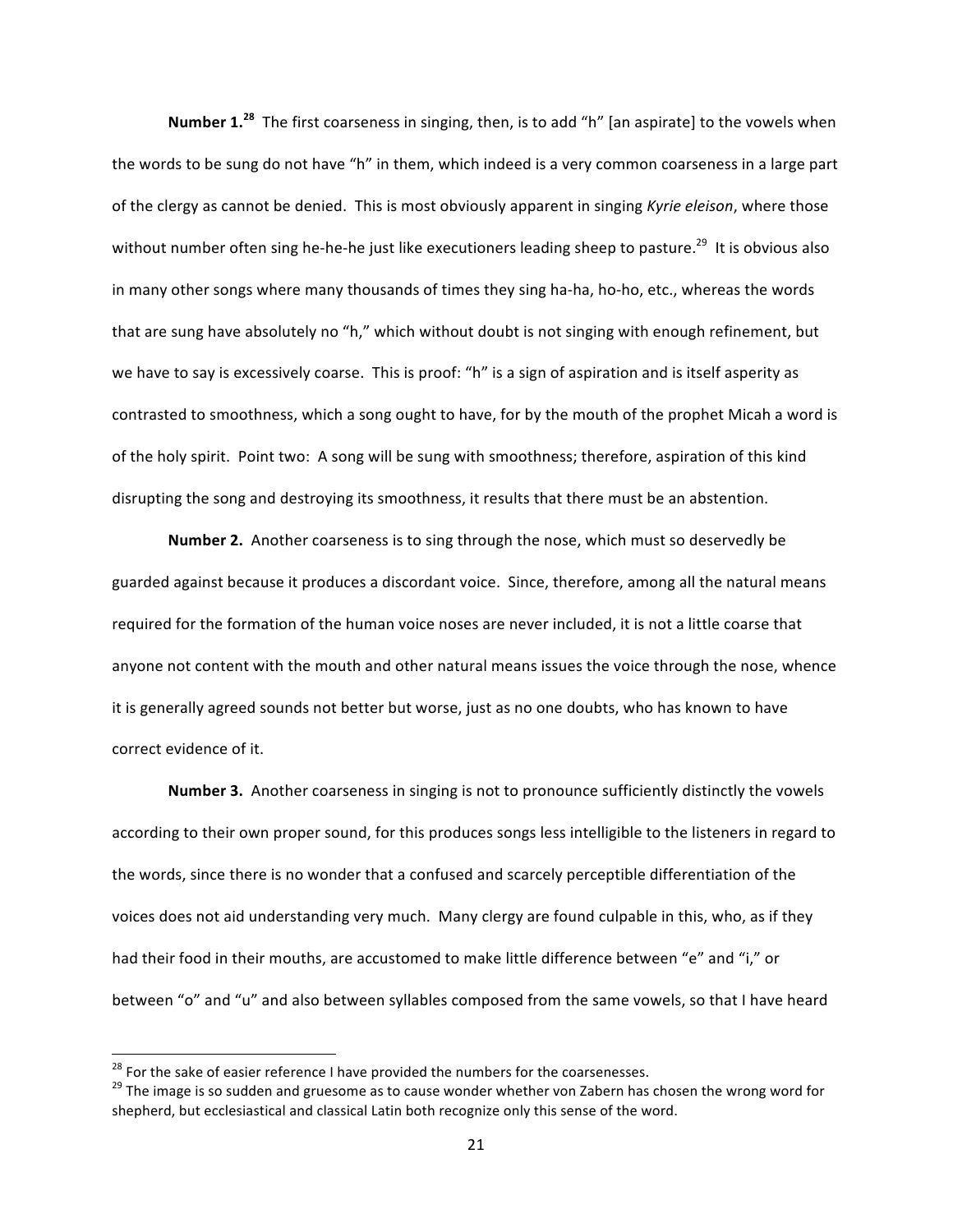**Number 1.**<sup>28</sup> The first coarseness in singing, then, is to add "h" [an aspirate] to the vowels when the words to be sung do not have "h" in them, which indeed is a very common coarseness in a large part of the clergy as cannot be denied. This is most obviously apparent in singing *Kyrie eleison*, where those without number often sing he-he-he just like executioners leading sheep to pasture.<sup>29</sup> It is obvious also in many other songs where many thousands of times they sing ha-ha, ho-ho, etc., whereas the words that are sung have absolutely no "h," which without doubt is not singing with enough refinement, but we have to say is excessively coarse. This is proof: "h" is a sign of aspiration and is itself asperity as contrasted to smoothness, which a song ought to have, for by the mouth of the prophet Micah a word is of the holy spirit. Point two: A song will be sung with smoothness; therefore, aspiration of this kind disrupting the song and destroying its smoothness, it results that there must be an abstention.

**Number 2.** Another coarseness is to sing through the nose, which must so deservedly be guarded against because it produces a discordant voice. Since, therefore, among all the natural means required for the formation of the human voice noses are never included, it is not a little coarse that anyone not content with the mouth and other natural means issues the voice through the nose, whence it is generally agreed sounds not better but worse, just as no one doubts, who has known to have correct evidence of it.

**Number 3.** Another coarseness in singing is not to pronounce sufficiently distinctly the vowels according to their own proper sound, for this produces songs less intelligible to the listeners in regard to the words, since there is no wonder that a confused and scarcely perceptible differentiation of the voices does not aid understanding very much. Many clergy are found culpable in this, who, as if they had their food in their mouths, are accustomed to make little difference between "e" and "i," or between "o" and "u" and also between syllables composed from the same vowels, so that I have heard

<sup>&</sup>lt;sup>28</sup> For the sake of easier reference I have provided the numbers for the coarsenesses.<br><sup>29</sup> The image is so sudden and gruesome as to cause wonder whether von Zabern has chosen the wrong word for shepherd, but ecclesiastical and classical Latin both recognize only this sense of the word.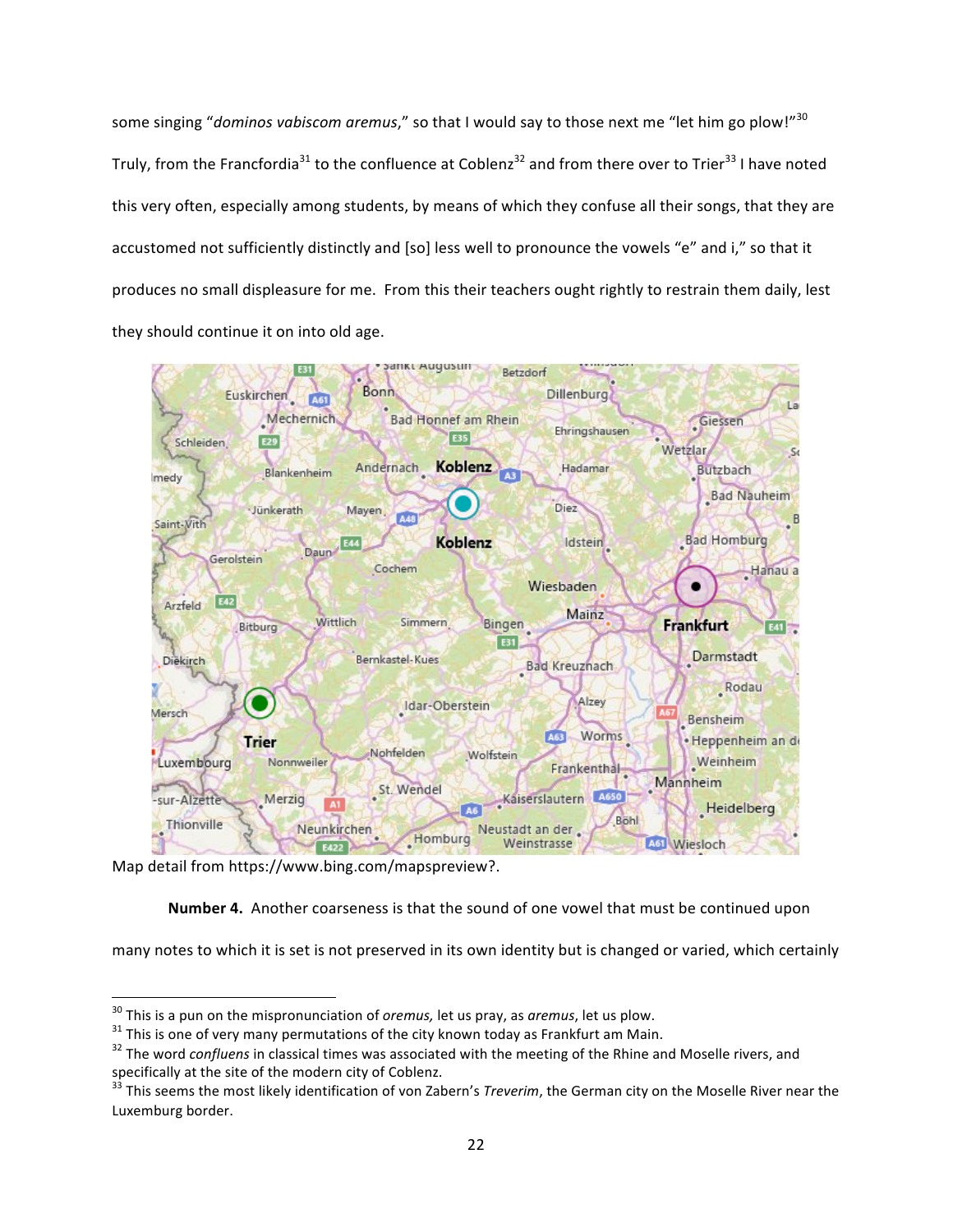some singing "*dominos vabiscom aremus*," so that I would say to those next me "let him go plow!"<sup>30</sup> Truly, from the Francfordia<sup>31</sup> to the confluence at Coblenz<sup>32</sup> and from there over to Trier<sup>33</sup> I have noted this very often, especially among students, by means of which they confuse all their songs, that they are accustomed not sufficiently distinctly and [so] less well to pronounce the vowels "e" and i," so that it produces no small displeasure for me. From this their teachers ought rightly to restrain them daily, lest they should continue it on into old age.



Map detail from https://www.bing.com/mapspreview?.

**Number 4.** Another coarseness is that the sound of one vowel that must be continued upon

many notes to which it is set is not preserved in its own identity but is changed or varied, which certainly

 $30$  This is a pun on the mispronunciation of *oremus*, let us pray, as *aremus*, let us plow.

 $31$  This is one of very many permutations of the city known today as Frankfurt am Main.<br> $32$  The word *confluens* in classical times was associated with the meeting of the Rhine and Moselle rivers, and specifically at the site of the modern city of Coblenz.<br><sup>33</sup> This seems the most likely identification of von Zabern's *Treverim*, the German city on the Moselle River near the

Luxemburg border.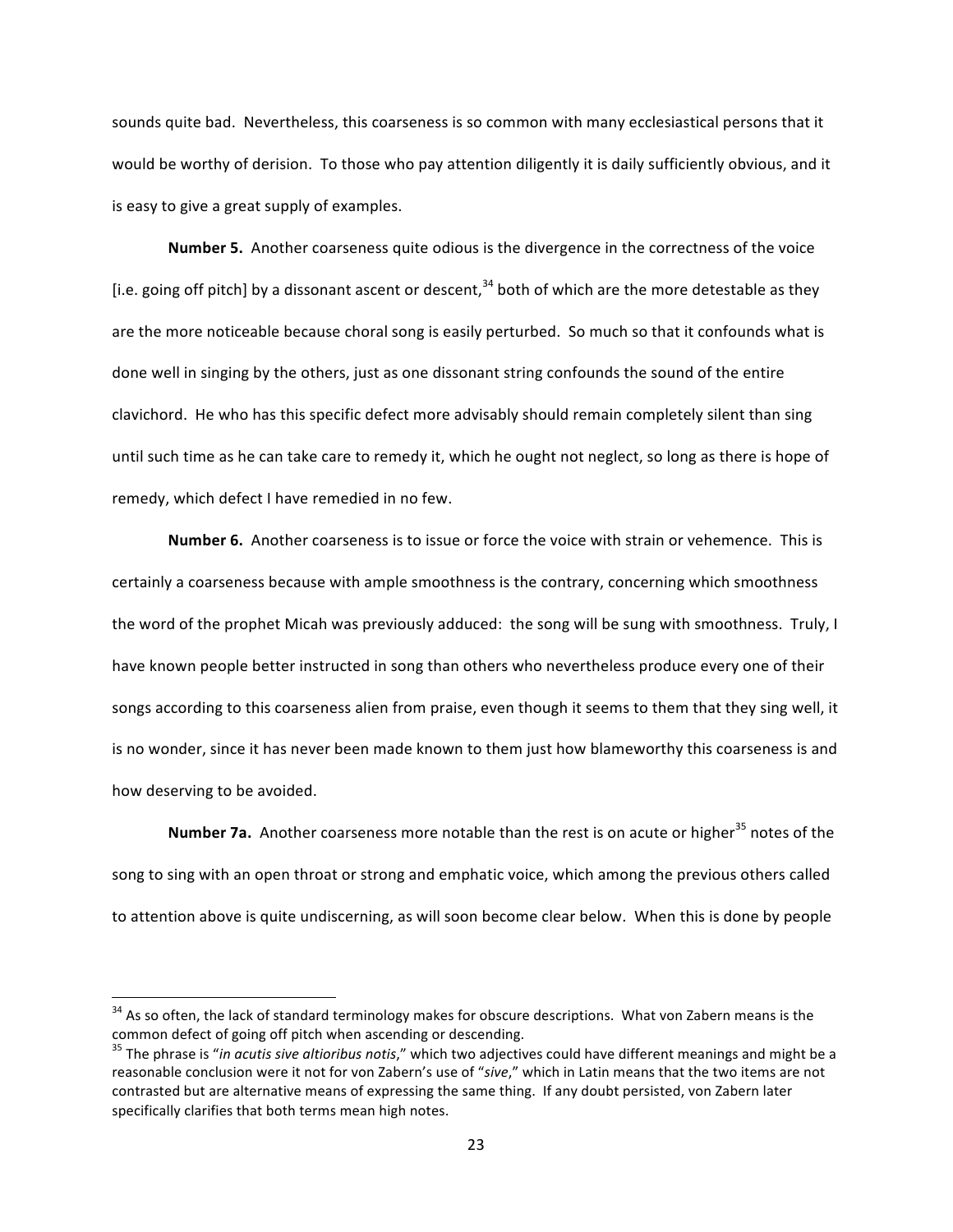sounds quite bad. Nevertheless, this coarseness is so common with many ecclesiastical persons that it would be worthy of derision. To those who pay attention diligently it is daily sufficiently obvious, and it is easy to give a great supply of examples.

**Number 5.** Another coarseness quite odious is the divergence in the correctness of the voice [i.e. going off pitch] by a dissonant ascent or descent,  $34$  both of which are the more detestable as they are the more noticeable because choral song is easily perturbed. So much so that it confounds what is done well in singing by the others, just as one dissonant string confounds the sound of the entire clavichord. He who has this specific defect more advisably should remain completely silent than sing until such time as he can take care to remedy it, which he ought not neglect, so long as there is hope of remedy, which defect I have remedied in no few.

**Number 6.** Another coarseness is to issue or force the voice with strain or vehemence. This is certainly a coarseness because with ample smoothness is the contrary, concerning which smoothness the word of the prophet Micah was previously adduced: the song will be sung with smoothness. Truly, I have known people better instructed in song than others who nevertheless produce every one of their songs according to this coarseness alien from praise, even though it seems to them that they sing well, it is no wonder, since it has never been made known to them just how blameworthy this coarseness is and how deserving to be avoided.

**Number 7a.** Another coarseness more notable than the rest is on acute or higher<sup>35</sup> notes of the song to sing with an open throat or strong and emphatic voice, which among the previous others called to attention above is quite undiscerning, as will soon become clear below. When this is done by people

 $34$  As so often, the lack of standard terminology makes for obscure descriptions. What von Zabern means is the common defect of going off pitch when ascending or descending.

<sup>&</sup>lt;sup>35</sup> The phrase is "*in acutis sive altioribus notis*," which two adjectives could have different meanings and might be a reasonable conclusion were it not for von Zabern's use of "sive," which in Latin means that the two items are not contrasted but are alternative means of expressing the same thing. If any doubt persisted, von Zabern later specifically clarifies that both terms mean high notes.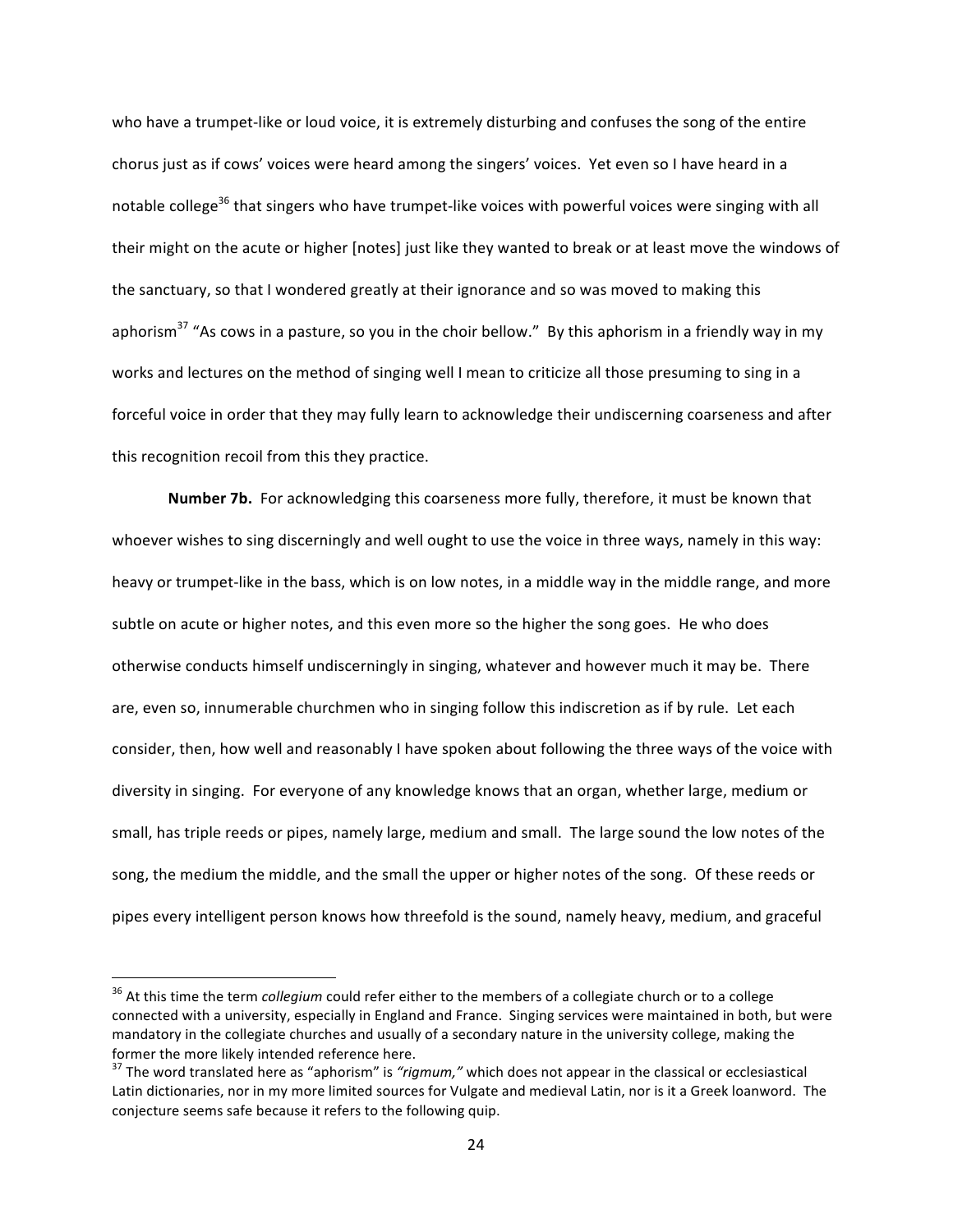who have a trumpet-like or loud voice, it is extremely disturbing and confuses the song of the entire chorus just as if cows' voices were heard among the singers' voices. Yet even so I have heard in a notable college<sup>36</sup> that singers who have trumpet-like voices with powerful voices were singing with all their might on the acute or higher [notes] just like they wanted to break or at least move the windows of the sanctuary, so that I wondered greatly at their ignorance and so was moved to making this aphorism<sup>37</sup> "As cows in a pasture, so you in the choir bellow." By this aphorism in a friendly way in my works and lectures on the method of singing well I mean to criticize all those presuming to sing in a forceful voice in order that they may fully learn to acknowledge their undiscerning coarseness and after this recognition recoil from this they practice.

**Number 7b.** For acknowledging this coarseness more fully, therefore, it must be known that whoever wishes to sing discerningly and well ought to use the voice in three ways, namely in this way: heavy or trumpet-like in the bass, which is on low notes, in a middle way in the middle range, and more subtle on acute or higher notes, and this even more so the higher the song goes. He who does otherwise conducts himself undiscerningly in singing, whatever and however much it may be. There are, even so, innumerable churchmen who in singing follow this indiscretion as if by rule. Let each consider, then, how well and reasonably I have spoken about following the three ways of the voice with diversity in singing. For everyone of any knowledge knows that an organ, whether large, medium or small, has triple reeds or pipes, namely large, medium and small. The large sound the low notes of the song, the medium the middle, and the small the upper or higher notes of the song. Of these reeds or pipes every intelligent person knows how threefold is the sound, namely heavy, medium, and graceful

<sup>&</sup>lt;sup>36</sup> At this time the term *collegium* could refer either to the members of a collegiate church or to a college connected with a university, especially in England and France. Singing services were maintained in both, but were mandatory in the collegiate churches and usually of a secondary nature in the university college, making the former the more likely intended reference here.

<sup>&</sup>lt;sup>37</sup> The word translated here as "aphorism" is "rigmum," which does not appear in the classical or ecclesiastical Latin dictionaries, nor in my more limited sources for Vulgate and medieval Latin, nor is it a Greek loanword. The conjecture seems safe because it refers to the following quip.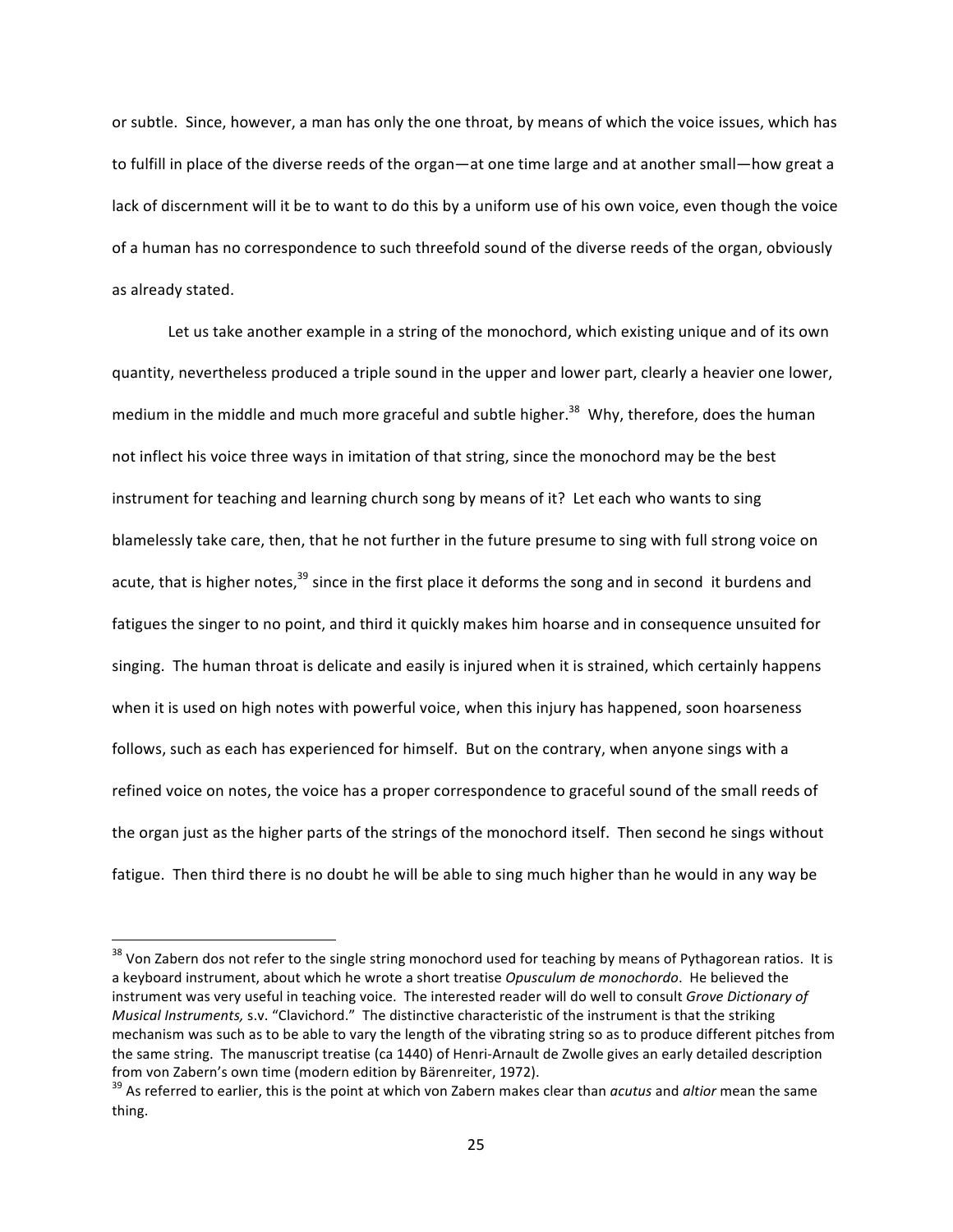or subtle. Since, however, a man has only the one throat, by means of which the voice issues, which has to fulfill in place of the diverse reeds of the organ—at one time large and at another small—how great a lack of discernment will it be to want to do this by a uniform use of his own voice, even though the voice of a human has no correspondence to such threefold sound of the diverse reeds of the organ, obviously as already stated.

Let us take another example in a string of the monochord, which existing unique and of its own quantity, nevertheless produced a triple sound in the upper and lower part, clearly a heavier one lower, medium in the middle and much more graceful and subtle higher.<sup>38</sup> Why, therefore, does the human not inflect his voice three ways in imitation of that string, since the monochord may be the best instrument for teaching and learning church song by means of it? Let each who wants to sing blamelessly take care, then, that he not further in the future presume to sing with full strong voice on acute, that is higher notes,  $39$  since in the first place it deforms the song and in second it burdens and fatigues the singer to no point, and third it quickly makes him hoarse and in consequence unsuited for singing. The human throat is delicate and easily is injured when it is strained, which certainly happens when it is used on high notes with powerful voice, when this injury has happened, soon hoarseness follows, such as each has experienced for himself. But on the contrary, when anyone sings with a refined voice on notes, the voice has a proper correspondence to graceful sound of the small reeds of the organ just as the higher parts of the strings of the monochord itself. Then second he sings without fatigue. Then third there is no doubt he will be able to sing much higher than he would in any way be

 $38$  Von Zabern dos not refer to the single string monochord used for teaching by means of Pythagorean ratios. It is a keyboard instrument, about which he wrote a short treatise *Opusculum de monochordo*. He believed the instrument was very useful in teaching voice. The interested reader will do well to consult *Grove Dictionary of Musical Instruments, s.v.* "Clavichord." The distinctive characteristic of the instrument is that the striking mechanism was such as to be able to vary the length of the vibrating string so as to produce different pitches from the same string. The manuscript treatise (ca 1440) of Henri-Arnault de Zwolle gives an early detailed description

from von Zabern's own time (modern edition by Bärenreiter, 1972).<br><sup>39</sup> As referred to earlier, this is the point at which von Zabern makes clear than *acutus* and *altior* mean the same thing.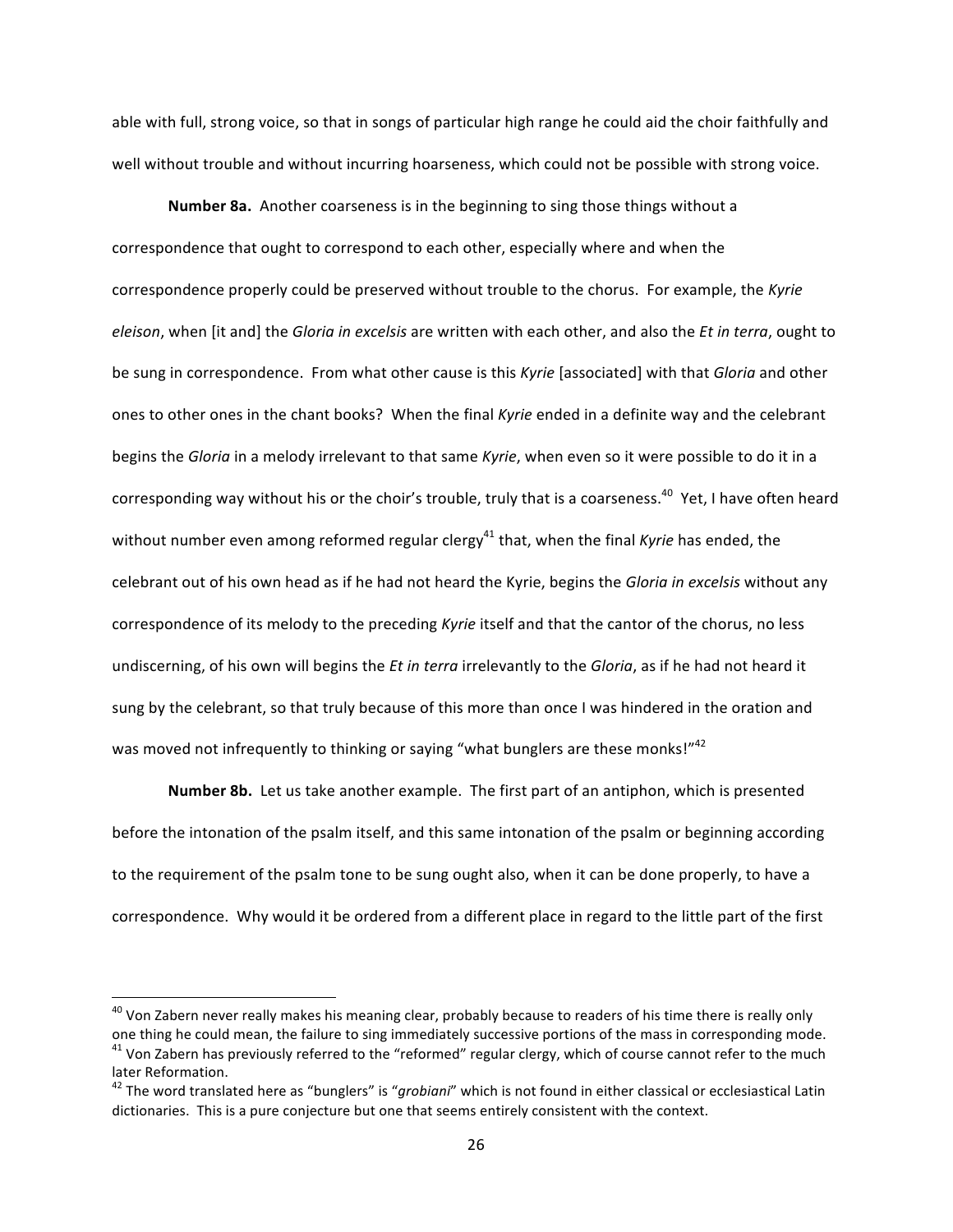able with full, strong voice, so that in songs of particular high range he could aid the choir faithfully and well without trouble and without incurring hoarseness, which could not be possible with strong voice.

**Number 8a.** Another coarseness is in the beginning to sing those things without a correspondence that ought to correspond to each other, especially where and when the correspondence properly could be preserved without trouble to the chorus. For example, the Kyrie *eleison*, when [it and] the *Gloria in excelsis* are written with each other, and also the *Et in terra*, ought to be sung in correspondence. From what other cause is this *Kyrie* [associated] with that *Glorig* and other ones to other ones in the chant books? When the final *Kyrie* ended in a definite way and the celebrant begins the *Gloria* in a melody irrelevant to that same *Kyrie*, when even so it were possible to do it in a corresponding way without his or the choir's trouble, truly that is a coarseness.<sup>40</sup> Yet, I have often heard without number even among reformed regular clergy<sup>41</sup> that, when the final *Kyrie* has ended, the celebrant out of his own head as if he had not heard the Kyrie, begins the *Gloria in excelsis* without any correspondence of its melody to the preceding *Kyrie* itself and that the cantor of the chorus, no less undiscerning, of his own will begins the *Et in terra* irrelevantly to the *Gloria*, as if he had not heard it sung by the celebrant, so that truly because of this more than once I was hindered in the oration and was moved not infrequently to thinking or saying "what bunglers are these monks!" $42$ 

**Number 8b.** Let us take another example. The first part of an antiphon, which is presented before the intonation of the psalm itself, and this same intonation of the psalm or beginning according to the requirement of the psalm tone to be sung ought also, when it can be done properly, to have a correspondence. Why would it be ordered from a different place in regard to the little part of the first

 $^{40}$  Von Zabern never really makes his meaning clear, probably because to readers of his time there is really only one thing he could mean, the failure to sing immediately successive portions of the mass in corresponding mode.  $41$  Von Zabern has previously referred to the "reformed" regular clergy, which of course cannot refer to the

later Reformation.<br><sup>42</sup> The word translated here as "bunglers" is "*grobiani*" which is not found in either classical or ecclesiastical Latin dictionaries. This is a pure conjecture but one that seems entirely consistent with the context.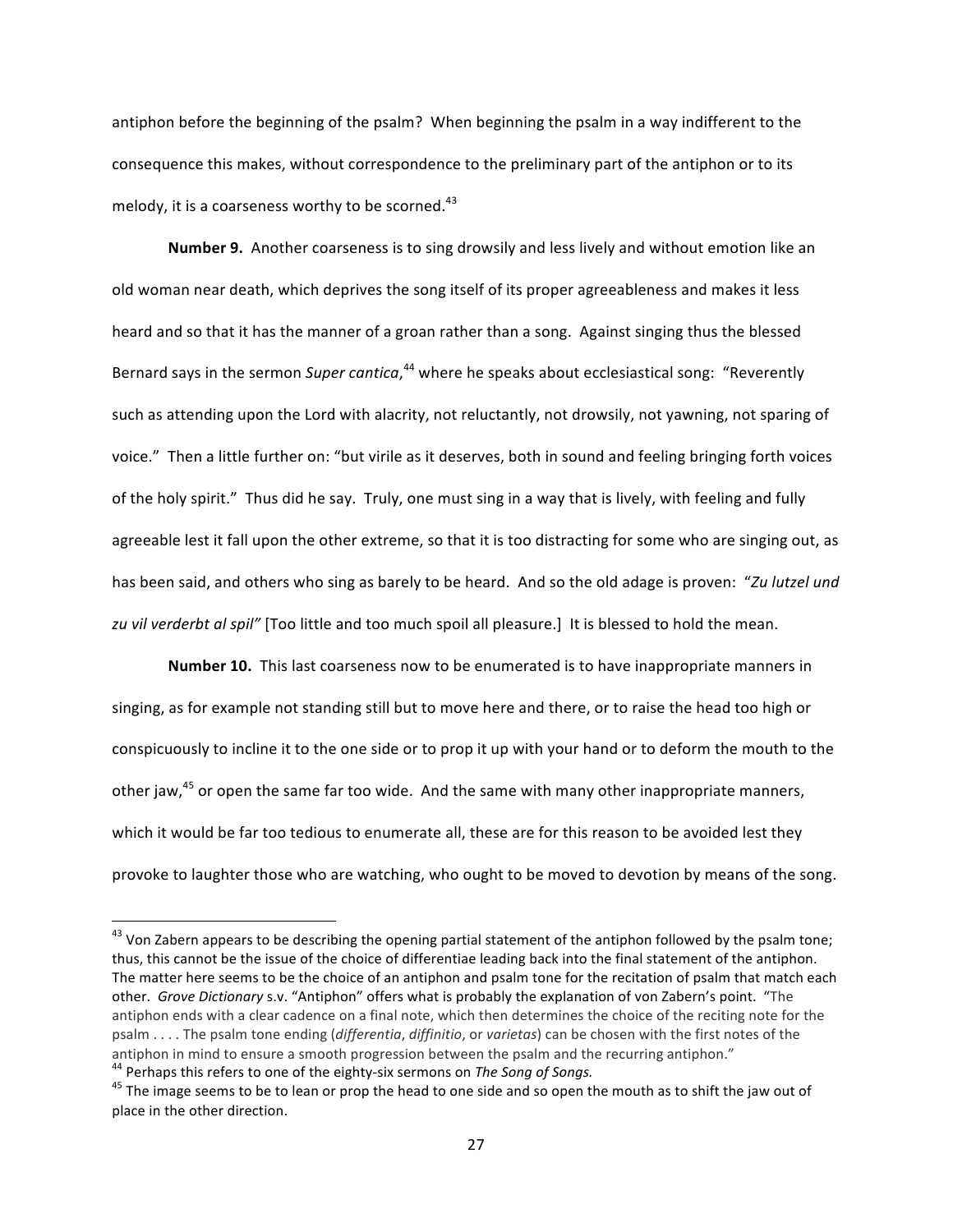antiphon before the beginning of the psalm? When beginning the psalm in a way indifferent to the consequence this makes, without correspondence to the preliminary part of the antiphon or to its melody, it is a coarseness worthy to be scorned.<sup>43</sup>

**Number 9.** Another coarseness is to sing drowsily and less lively and without emotion like an old woman near death, which deprives the song itself of its proper agreeableness and makes it less heard and so that it has the manner of a groan rather than a song. Against singing thus the blessed Bernard says in the sermon Super cantica,<sup>44</sup> where he speaks about ecclesiastical song: "Reverently such as attending upon the Lord with alacrity, not reluctantly, not drowsily, not yawning, not sparing of voice." Then a little further on: "but virile as it deserves, both in sound and feeling bringing forth voices of the holy spirit." Thus did he say. Truly, one must sing in a way that is lively, with feeling and fully agreeable lest it fall upon the other extreme, so that it is too distracting for some who are singing out, as has been said, and others who sing as barely to be heard. And so the old adage is proven: "Zu lutzel und zu vil verderbt al spil" [Too little and too much spoil all pleasure.] It is blessed to hold the mean.

**Number 10.** This last coarseness now to be enumerated is to have inappropriate manners in singing, as for example not standing still but to move here and there, or to raise the head too high or conspicuously to incline it to the one side or to prop it up with your hand or to deform the mouth to the other jaw, $45$  or open the same far too wide. And the same with many other inappropriate manners, which it would be far too tedious to enumerate all, these are for this reason to be avoided lest they provoke to laughter those who are watching, who ought to be moved to devotion by means of the song.

 $43$  Von Zabern appears to be describing the opening partial statement of the antiphon followed by the psalm tone; thus, this cannot be the issue of the choice of differentiae leading back into the final statement of the antiphon. The matter here seems to be the choice of an antiphon and psalm tone for the recitation of psalm that match each other. *Grove Dictionary* s.v. "Antiphon" offers what is probably the explanation of von Zabern's point. "The antiphon ends with a clear cadence on a final note, which then determines the choice of the reciting note for the psalm . . . . The psalm tone ending (*differentia*, *diffinitio*, or *varietas*) can be chosen with the first notes of the antiphon in mind to ensure a smooth progression between the psalm and the recurring antiphon."<br><sup>44</sup> Perhaps this refers to one of the eighty-six sermons on *The Song of Songs.*<br><sup>45</sup> The image seems to be to lean or prop th

place in the other direction.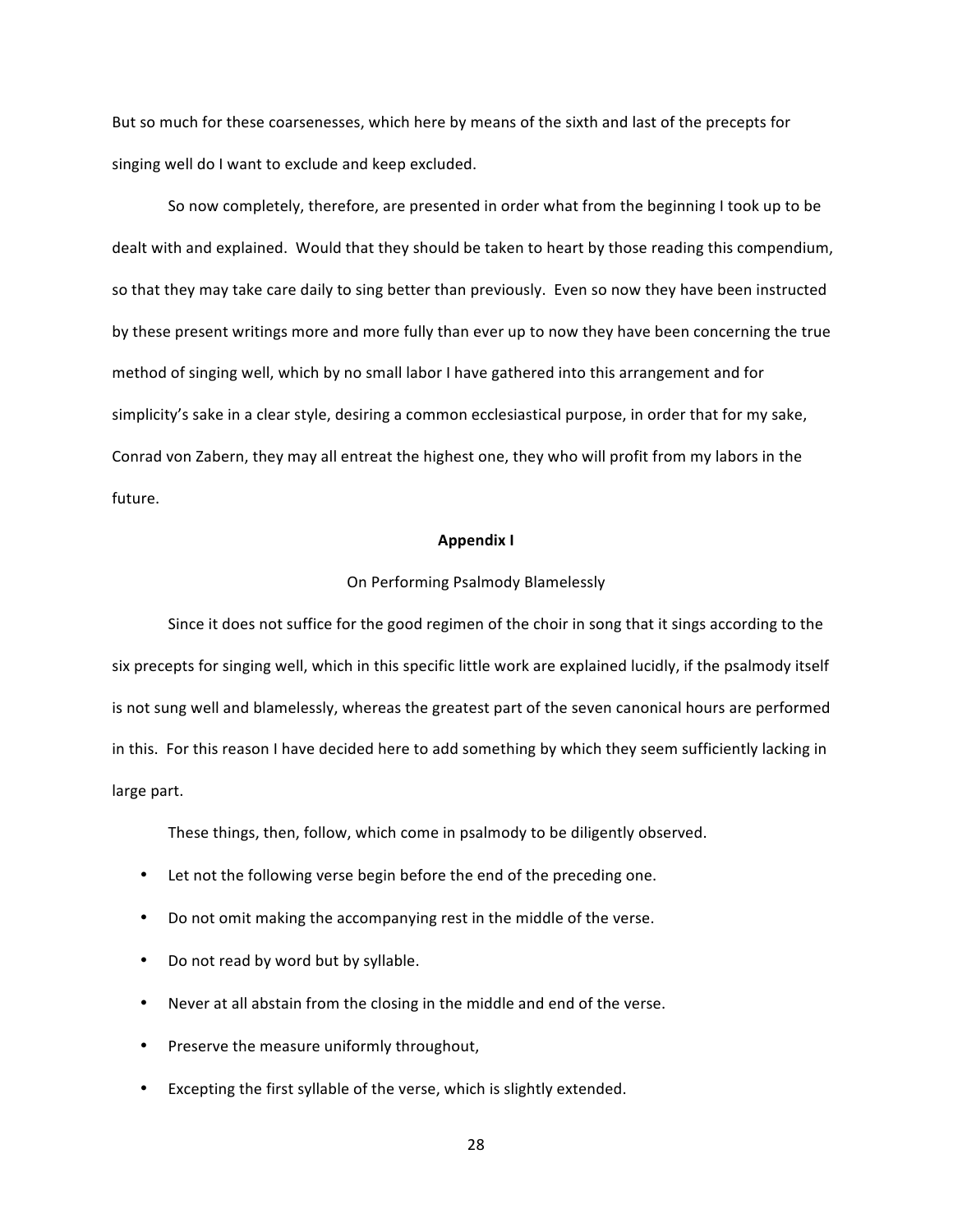But so much for these coarsenesses, which here by means of the sixth and last of the precepts for singing well do I want to exclude and keep excluded.

So now completely, therefore, are presented in order what from the beginning I took up to be dealt with and explained. Would that they should be taken to heart by those reading this compendium, so that they may take care daily to sing better than previously. Even so now they have been instructed by these present writings more and more fully than ever up to now they have been concerning the true method of singing well, which by no small labor I have gathered into this arrangement and for simplicity's sake in a clear style, desiring a common ecclesiastical purpose, in order that for my sake, Conrad von Zabern, they may all entreat the highest one, they who will profit from my labors in the future.

# **Appendix I**

## On Performing Psalmody Blamelessly

Since it does not suffice for the good regimen of the choir in song that it sings according to the six precepts for singing well, which in this specific little work are explained lucidly, if the psalmody itself is not sung well and blamelessly, whereas the greatest part of the seven canonical hours are performed in this. For this reason I have decided here to add something by which they seem sufficiently lacking in large part.

These things, then, follow, which come in psalmody to be diligently observed.

- Let not the following verse begin before the end of the preceding one.
- Do not omit making the accompanying rest in the middle of the verse.
- Do not read by word but by syllable.
- Never at all abstain from the closing in the middle and end of the verse.
- Preserve the measure uniformly throughout,
- Excepting the first syllable of the verse, which is slightly extended.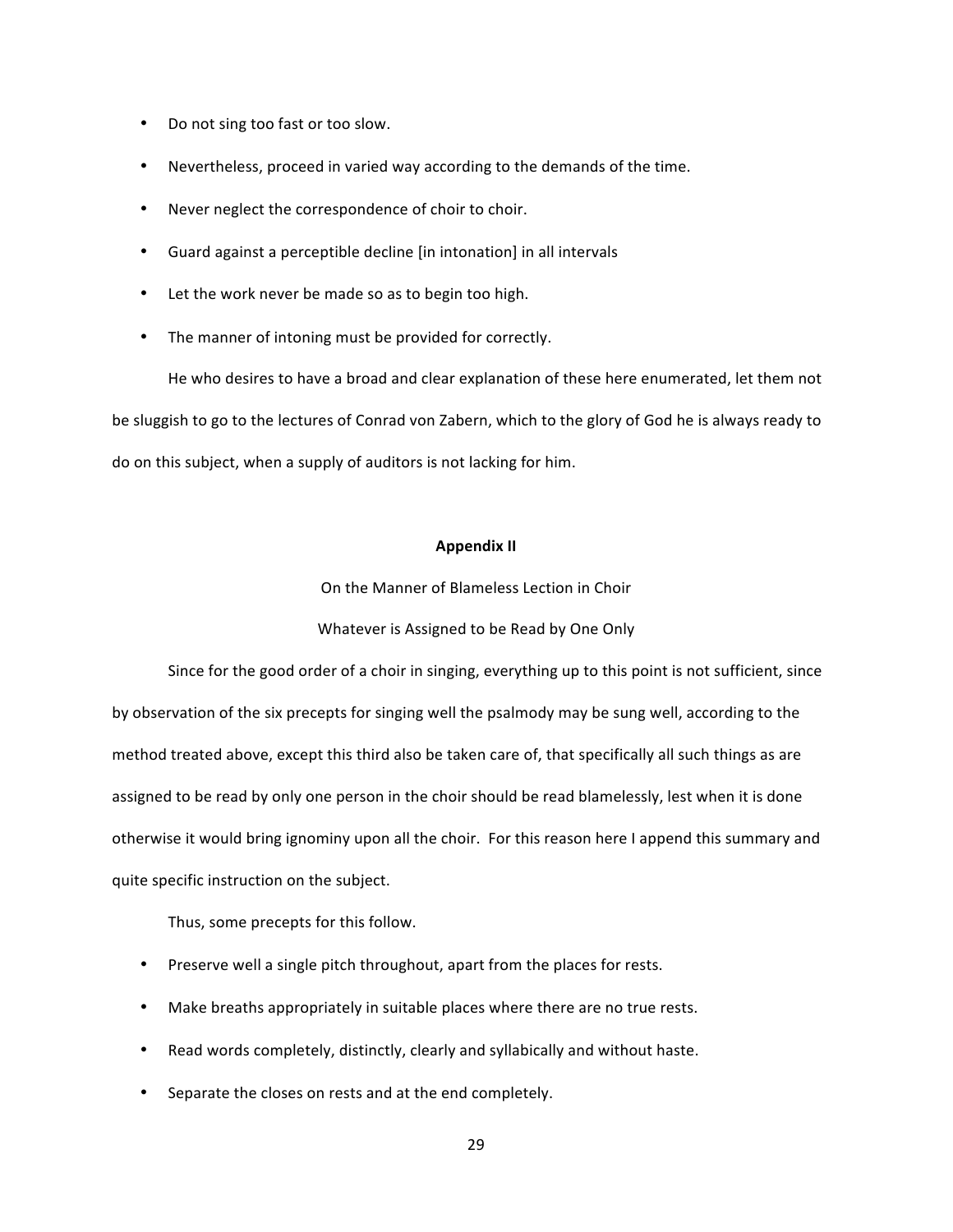- Do not sing too fast or too slow.
- Nevertheless, proceed in varied way according to the demands of the time.
- Never neglect the correspondence of choir to choir.
- Guard against a perceptible decline [in intonation] in all intervals
- Let the work never be made so as to begin too high.
- The manner of intoning must be provided for correctly.

He who desires to have a broad and clear explanation of these here enumerated, let them not be sluggish to go to the lectures of Conrad von Zabern, which to the glory of God he is always ready to do on this subject, when a supply of auditors is not lacking for him.

# **Appendix II**

On the Manner of Blameless Lection in Choir

# Whatever is Assigned to be Read by One Only

Since for the good order of a choir in singing, everything up to this point is not sufficient, since by observation of the six precepts for singing well the psalmody may be sung well, according to the method treated above, except this third also be taken care of, that specifically all such things as are assigned to be read by only one person in the choir should be read blamelessly, lest when it is done otherwise it would bring ignominy upon all the choir. For this reason here I append this summary and quite specific instruction on the subject.

Thus, some precepts for this follow.

- Preserve well a single pitch throughout, apart from the places for rests.
- Make breaths appropriately in suitable places where there are no true rests.
- Read words completely, distinctly, clearly and syllabically and without haste.
- Separate the closes on rests and at the end completely.